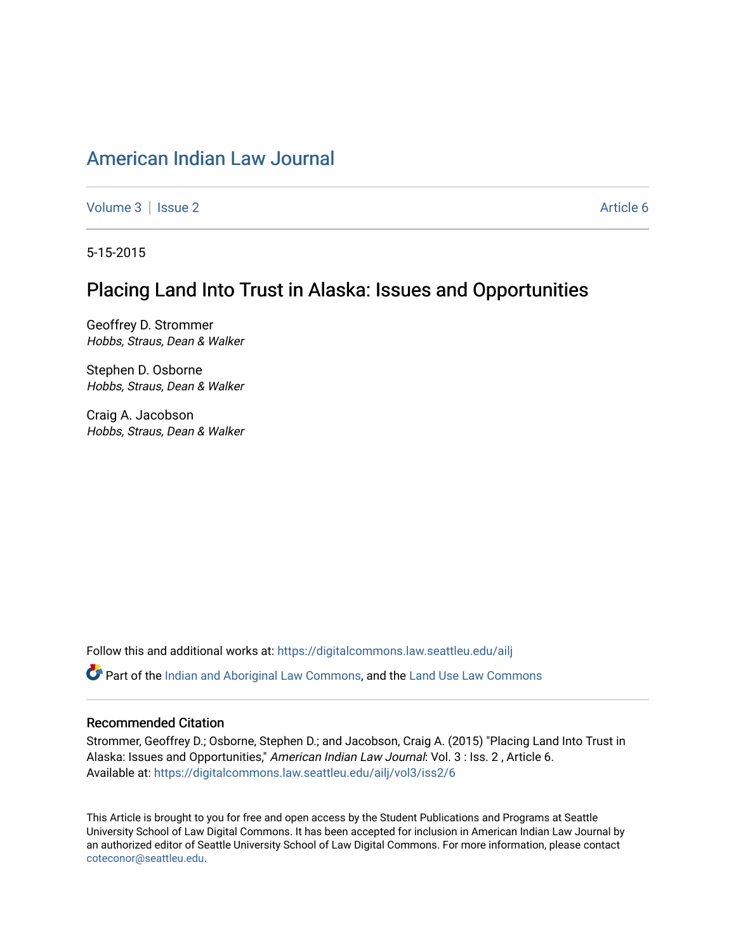# [American Indian Law Journal](https://digitalcommons.law.seattleu.edu/ailj)

[Volume 3](https://digitalcommons.law.seattleu.edu/ailj/vol3) | [Issue 2](https://digitalcommons.law.seattleu.edu/ailj/vol3/iss2) Article 6

5-15-2015

# Placing Land Into Trust in Alaska: Issues and Opportunities

Geoffrey D. Strommer Hobbs, Straus, Dean & Walker

Stephen D. Osborne Hobbs, Straus, Dean & Walker

Craig A. Jacobson Hobbs, Straus, Dean & Walker

Follow this and additional works at: [https://digitalcommons.law.seattleu.edu/ailj](https://digitalcommons.law.seattleu.edu/ailj?utm_source=digitalcommons.law.seattleu.edu%2Failj%2Fvol3%2Fiss2%2F6&utm_medium=PDF&utm_campaign=PDFCoverPages) 

Part of the [Indian and Aboriginal Law Commons,](http://network.bepress.com/hgg/discipline/894?utm_source=digitalcommons.law.seattleu.edu%2Failj%2Fvol3%2Fiss2%2F6&utm_medium=PDF&utm_campaign=PDFCoverPages) and the [Land Use Law Commons](http://network.bepress.com/hgg/discipline/852?utm_source=digitalcommons.law.seattleu.edu%2Failj%2Fvol3%2Fiss2%2F6&utm_medium=PDF&utm_campaign=PDFCoverPages)

#### Recommended Citation

Strommer, Geoffrey D.; Osborne, Stephen D.; and Jacobson, Craig A. (2015) "Placing Land Into Trust in Alaska: Issues and Opportunities," American Indian Law Journal: Vol. 3 : Iss. 2, Article 6. Available at: [https://digitalcommons.law.seattleu.edu/ailj/vol3/iss2/6](https://digitalcommons.law.seattleu.edu/ailj/vol3/iss2/6?utm_source=digitalcommons.law.seattleu.edu%2Failj%2Fvol3%2Fiss2%2F6&utm_medium=PDF&utm_campaign=PDFCoverPages)

This Article is brought to you for free and open access by the Student Publications and Programs at Seattle University School of Law Digital Commons. It has been accepted for inclusion in American Indian Law Journal by an authorized editor of Seattle University School of Law Digital Commons. For more information, please contact [coteconor@seattleu.edu.](mailto:coteconor@seattleu.edu)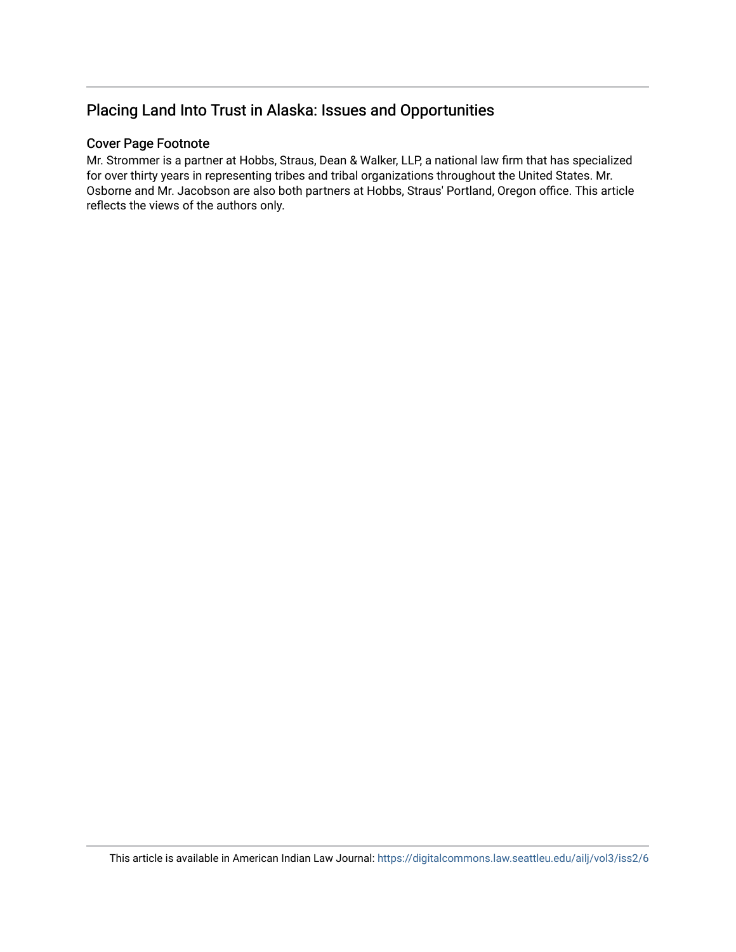# Placing Land Into Trust in Alaska: Issues and Opportunities

#### Cover Page Footnote

Mr. Strommer is a partner at Hobbs, Straus, Dean & Walker, LLP, a national law firm that has specialized for over thirty years in representing tribes and tribal organizations throughout the United States. Mr. Osborne and Mr. Jacobson are also both partners at Hobbs, Straus' Portland, Oregon office. This article reflects the views of the authors only.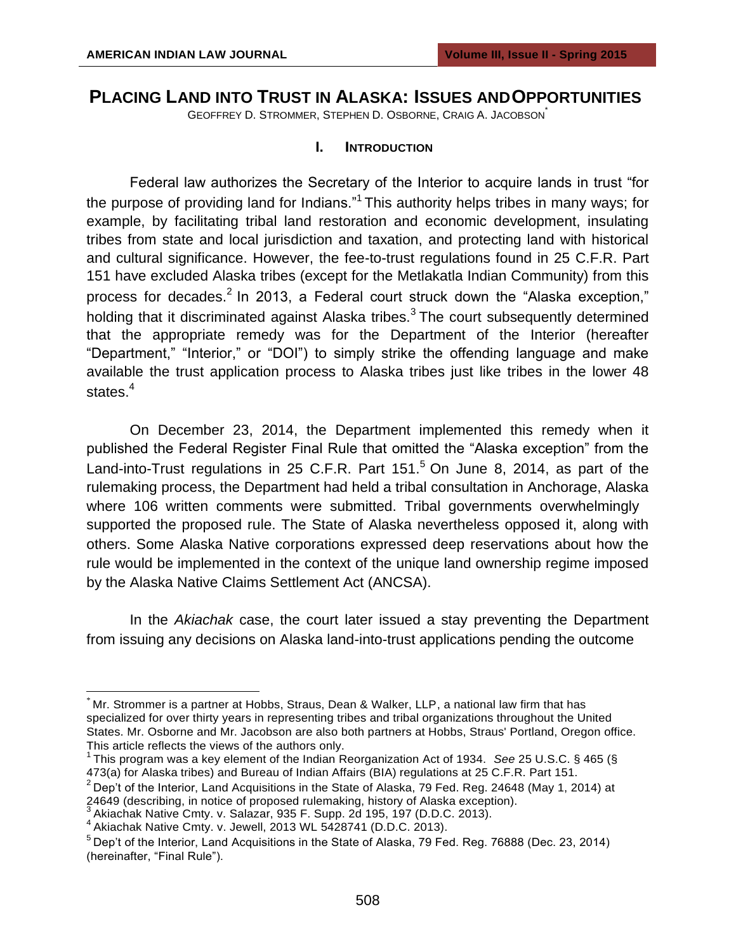## **PLACING LAND INTO TRUST IN ALASKA: ISSUES ANDOPPORTUNITIES**

GEOFFREY D. STROMMER, STEPHEN D. OSBORNE, CRAIG A. JACOBSON\*

#### **I. INTRODUCTION**

Federal law authorizes the Secretary of the Interior to acquire lands in trust "for the purpose of providing land for Indians."<sup>1</sup> This authority helps tribes in many ways; for example, by facilitating tribal land restoration and economic development, insulating tribes from state and local jurisdiction and taxation, and protecting land with historical and cultural significance. However, the fee-to-trust regulations found in 25 C.F.R. Part 151 have excluded Alaska tribes (except for the Metlakatla Indian Community) from this process for decades.<sup>2</sup> In 2013, a Federal court struck down the "Alaska exception," holding that it discriminated against Alaska tribes. $3$  The court subsequently determined that the appropriate remedy was for the Department of the Interior (hereafter "Department," "Interior," or "DOI") to simply strike the offending language and make available the trust application process to Alaska tribes just like tribes in the lower 48 states.<sup>4</sup>

On December 23, 2014, the Department implemented this remedy when it published the Federal Register Final Rule that omitted the "Alaska exception" from the Land-into-Trust regulations in 25 C.F.R. Part  $151<sup>5</sup>$  On June 8, 2014, as part of the rulemaking process, the Department had held a tribal consultation in Anchorage, Alaska where 106 written comments were submitted. Tribal governments overwhelmingly supported the proposed rule. The State of Alaska nevertheless opposed it, along with others. Some Alaska Native corporations expressed deep reservations about how the rule would be implemented in the context of the unique land ownership regime imposed by the Alaska Native Claims Settlement Act (ANCSA).

In the *Akiachak* case, the court later issued a stay preventing the Department from issuing any decisions on Alaska land-into-trust applications pending the outcome

<sup>\*</sup> Mr. Strommer is a partner at Hobbs, Straus, Dean & Walker, LLP, a national law firm that has specialized for over thirty years in representing tribes and tribal organizations throughout the United States. Mr. Osborne and Mr. Jacobson are also both partners at Hobbs, Straus' Portland, Oregon office. This article reflects the views of the authors only.

<sup>1</sup>This program was a key element of the Indian Reorganization Act of 1934. *See* 25 U.S.C. § 465 (§ 473(a) for Alaska tribes) and Bureau of Indian Affairs (BIA) regulations at 25 C.F.R. Part 151.

 $2$  Dep't of the Interior, Land Acquisitions in the State of Alaska, 79 Fed. Reg. 24648 (May 1, 2014) at 24649 (describing, in notice of proposed rulemaking, history of Alaska exception).

Akiachak Native Cmty. v. Salazar, 935 F. Supp. 2d 195, 197 (D.D.C. 2013).

Akiachak Native Cmty. v. Salach, 2013 WL 5428741 (D.D.C. 2013).

 $5$  Dep't of the Interior, Land Acquisitions in the State of Alaska, 79 Fed. Reg. 76888 (Dec. 23, 2014) (hereinafter, "Final Rule").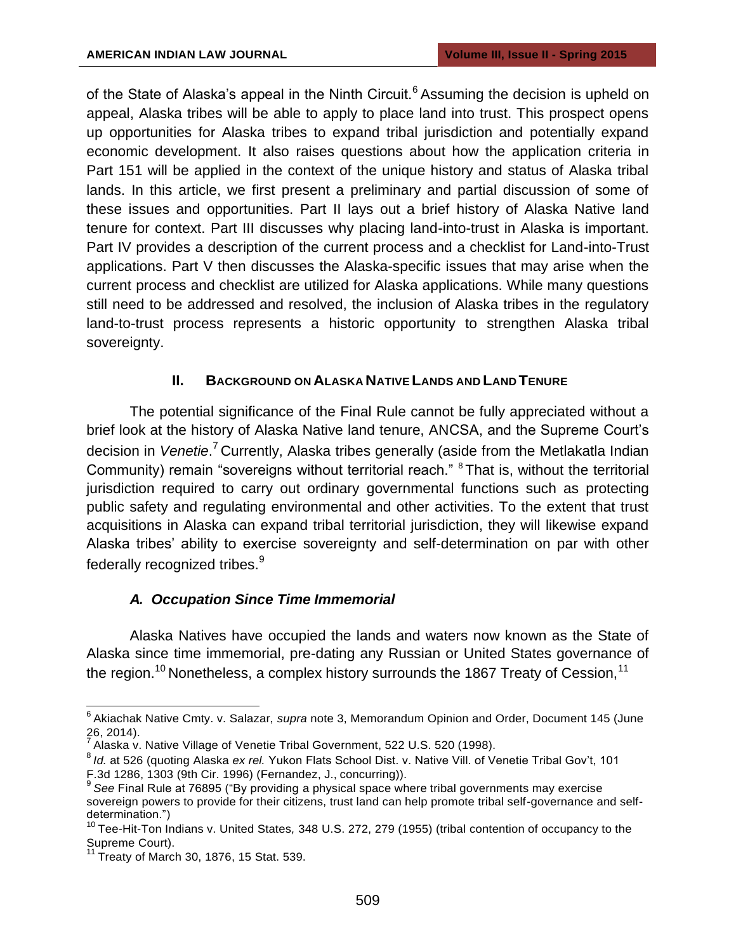of the State of Alaska's appeal in the Ninth Circuit.<sup>6</sup> Assuming the decision is upheld on appeal, Alaska tribes will be able to apply to place land into trust. This prospect opens up opportunities for Alaska tribes to expand tribal jurisdiction and potentially expand economic development. It also raises questions about how the application criteria in Part 151 will be applied in the context of the unique history and status of Alaska tribal lands. In this article, we first present a preliminary and partial discussion of some of these issues and opportunities. Part II lays out a brief history of Alaska Native land tenure for context. Part III discusses why placing land-into-trust in Alaska is important. Part IV provides a description of the current process and a checklist for Land-into-Trust applications. Part V then discusses the Alaska-specific issues that may arise when the current process and checklist are utilized for Alaska applications. While many questions still need to be addressed and resolved, the inclusion of Alaska tribes in the regulatory land-to-trust process represents a historic opportunity to strengthen Alaska tribal sovereignty.

## **II. BACKGROUND ON ALASKA NATIVE LANDS AND LAND TENURE**

The potential significance of the Final Rule cannot be fully appreciated without a brief look at the history of Alaska Native land tenure, ANCSA, and the Supreme Court's decision in *Venetie*.<sup>7</sup> Currently, Alaska tribes generally (aside from the Metlakatla Indian Community) remain "sovereigns without territorial reach." <sup>8</sup>That is, without the territorial jurisdiction required to carry out ordinary governmental functions such as protecting public safety and regulating environmental and other activities. To the extent that trust acquisitions in Alaska can expand tribal territorial jurisdiction, they will likewise expand Alaska tribes' ability to exercise sovereignty and self-determination on par with other federally recognized tribes.<sup>9</sup>

## *A. Occupation Since Time Immemorial*

Alaska Natives have occupied the lands and waters now known as the State of Alaska since time immemorial, pre-dating any Russian or United States governance of the region.<sup>10</sup> Nonetheless, a complex history surrounds the 1867 Treaty of Cession,<sup>11</sup>

<sup>&</sup>lt;sup>6</sup> Akiachak Native Cmty. v. Salazar, *supra* note 3, Memorandum Opinion and Order, Document 145 (June 26, 2014).

 $^7$  Alaska v. Native Village of Venetie Tribal Government, 522 U.S. 520 (1998).

<sup>8</sup>*Id.* at 526 (quoting Alaska *ex rel.* Yukon Flats School Dist. v. Native Vill. of Venetie Tribal Gov't, 101 F.3d 1286, 1303 (9th Cir. 1996) (Fernandez, J., concurring)).

<sup>9</sup>*See* Final Rule at 76895 ("By providing a physical space where tribal governments may exercise sovereign powers to provide for their citizens, trust land can help promote tribal self-governance and selfdetermination.")

<sup>&</sup>lt;sup>10</sup> Tee-Hit-Ton Indians v. United States, 348 U.S. 272, 279 (1955) (tribal contention of occupancy to the Supreme Court).

 $11$  Treaty of March 30, 1876, 15 Stat. 539.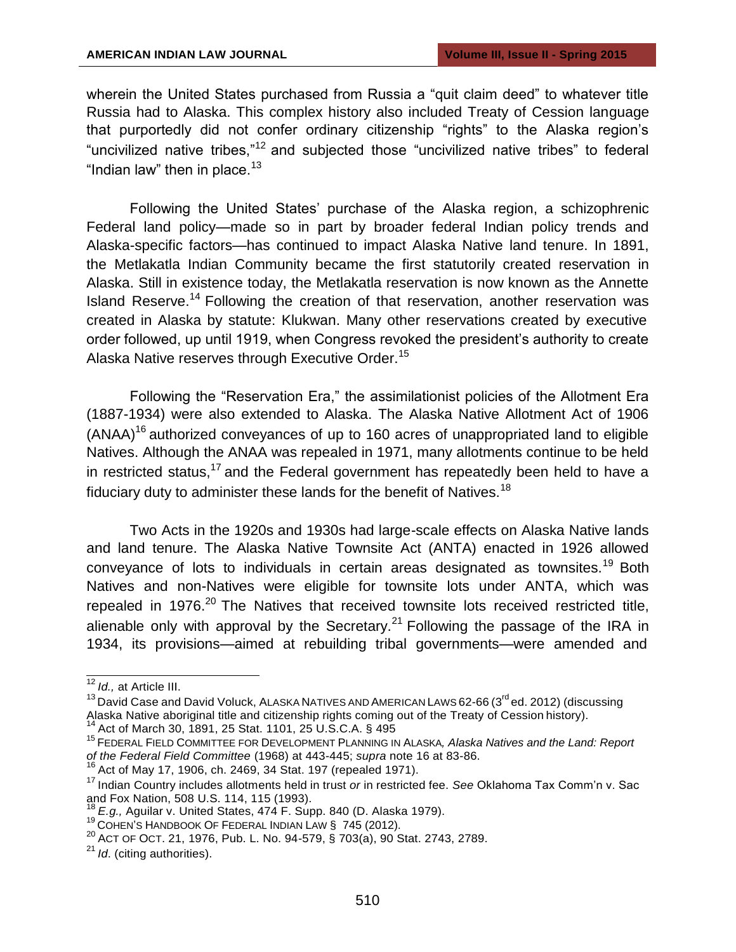wherein the United States purchased from Russia a "quit claim deed" to whatever title Russia had to Alaska. This complex history also included Treaty of Cession language that purportedly did not confer ordinary citizenship "rights" to the Alaska region's "uncivilized native tribes,"<sup>12</sup> and subjected those "uncivilized native tribes" to federal "Indian law" then in place. $13$ 

Following the United States' purchase of the Alaska region, a schizophrenic Federal land policy—made so in part by broader federal Indian policy trends and Alaska-specific factors—has continued to impact Alaska Native land tenure. In 1891, the Metlakatla Indian Community became the first statutorily created reservation in Alaska. Still in existence today, the Metlakatla reservation is now known as the Annette Island Reserve.<sup>14</sup> Following the creation of that reservation, another reservation was created in Alaska by statute: Klukwan. Many other reservations created by executive order followed, up until 1919, when Congress revoked the president's authority to create Alaska Native reserves through Executive Order.<sup>15</sup>

Following the "Reservation Era," the assimilationist policies of the Allotment Era (1887-1934) were also extended to Alaska. The Alaska Native Allotment Act of 1906  $(ANAA)^{16}$  authorized convevances of up to 160 acres of unappropriated land to eligible Natives. Although the ANAA was repealed in 1971, many allotments continue to be held in restricted status,<sup>17</sup> and the Federal government has repeatedly been held to have a fiduciary duty to administer these lands for the benefit of Natives.<sup>18</sup>

Two Acts in the 1920s and 1930s had large-scale effects on Alaska Native lands and land tenure. The Alaska Native Townsite Act (ANTA) enacted in 1926 allowed conveyance of lots to individuals in certain areas designated as townsites.<sup>19</sup> Both Natives and non-Natives were eligible for townsite lots under ANTA, which was repealed in 1976. $20$  The Natives that received townsite lots received restricted title, alienable only with approval by the Secretary.<sup>21</sup> Following the passage of the IRA in 1934, its provisions—aimed at rebuilding tribal governments—were amended and

 $^{13}$  David Case and David Voluck, ALASKA NATIVES AND AMERICAN LAWS 62-66 (3<sup>rd</sup> ed. 2012) (discussing Alaska Native aboriginal title and citizenship rights coming out of the Treaty of Cession history).

<sup>14</sup> Act of March 30, 1891, 25 Stat. 1101, 25 U.S.C.A. § 495

 $16$  Act of May 17, 1906, ch. 2469, 34 Stat. 197 (repealed 1971).

<sup>12</sup>*Id.,* at Article III.

<sup>&</sup>lt;sup>15</sup> FEDERAL FIELD COMMITTEE FOR DEVELOPMENT PLANNING IN ALASKA, Alaska Natives and the Land: Report *of the Federal Field Committee* (1968) at 443-445; *supra* note 16 at 83-86.

<sup>&</sup>lt;sup>17</sup> Indian Country includes allotments held in trust *or* in restricted fee. *See* Oklahoma Tax Comm'n v. Sac and Fox Nation, 508 U.S. 114, 115 (1993).

<sup>18</sup>*E.g.,* Aguilar v. United States, 474 F. Supp. 840 (D. Alaska 1979).

<sup>19</sup>COHEN'S HANDBOOK OF FEDERAL INDIAN LAW § 745 (2012).

<sup>20</sup> ACT OF OCT. 21, 1976, Pub. L. No. 94-579, § 703(a), 90 Stat. 2743, 2789.

<sup>&</sup>lt;sup>21</sup> *Id.* (citing authorities).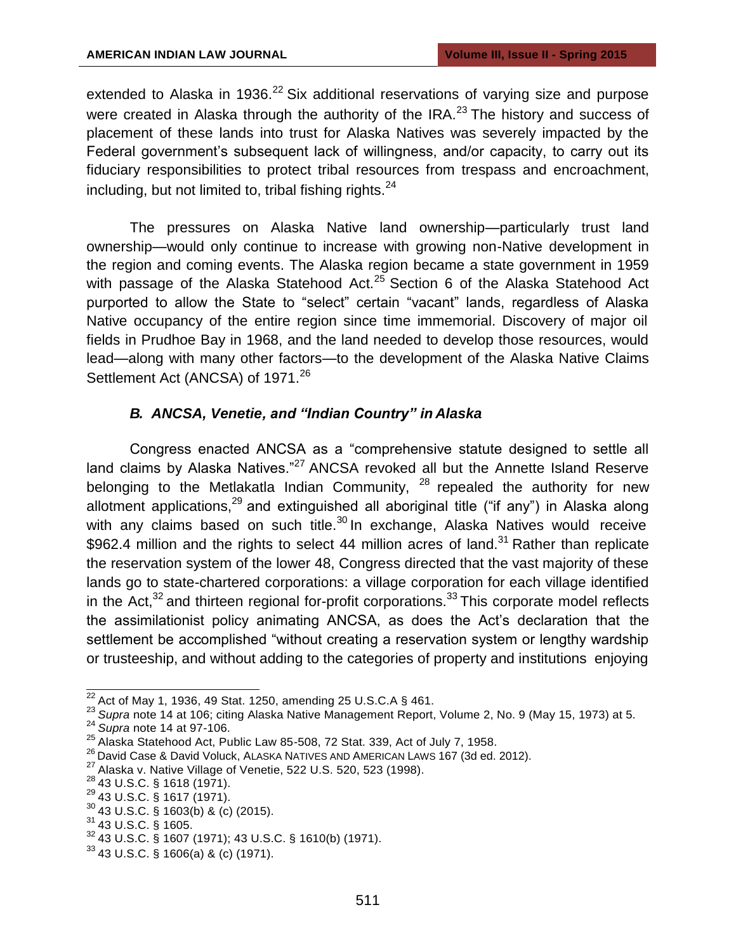extended to Alaska in 1936.<sup>22</sup> Six additional reservations of varying size and purpose were created in Alaska through the authority of the IRA.<sup>23</sup> The history and success of placement of these lands into trust for Alaska Natives was severely impacted by the Federal government's subsequent lack of willingness, and/or capacity, to carry out its fiduciary responsibilities to protect tribal resources from trespass and encroachment, including, but not limited to, tribal fishing rights. $24$ 

The pressures on Alaska Native land ownership—particularly trust land ownership—would only continue to increase with growing non-Native development in the region and coming events. The Alaska region became a state government in 1959 with passage of the Alaska Statehood Act. $25$  Section 6 of the Alaska Statehood Act purported to allow the State to "select" certain "vacant" lands, regardless of Alaska Native occupancy of the entire region since time immemorial. Discovery of major oil fields in Prudhoe Bay in 1968, and the land needed to develop those resources, would lead—along with many other factors—to the development of the Alaska Native Claims Settlement Act (ANCSA) of 1971.<sup>26</sup>

## *B. ANCSA, Venetie, and "Indian Country" in Alaska*

Congress enacted ANCSA as a "comprehensive statute designed to settle all land claims by Alaska Natives."<sup>27</sup> ANCSA revoked all but the Annette Island Reserve belonging to the Metlakatla Indian Community,  $28$  repealed the authority for new allotment applications,  $29$  and extinguished all aboriginal title ("if any") in Alaska along with any claims based on such title. $30$  In exchange, Alaska Natives would receive \$962.4 million and the rights to select 44 million acres of land.<sup>31</sup> Rather than replicate the reservation system of the lower 48, Congress directed that the vast majority of these lands go to state-chartered corporations: a village corporation for each village identified in the Act, $32$  and thirteen regional for-profit corporations.<sup>33</sup> This corporate model reflects the assimilationist policy animating ANCSA, as does the Act's declaration that the settlement be accomplished "without creating a reservation system or lengthy wardship or trusteeship, and without adding to the categories of property and institutions enjoying

 $22$  Act of May 1, 1936, 49 Stat. 1250, amending 25 U.S.C.A § 461.

<sup>23</sup>*Supra* note 14 at 106; citing Alaska Native Management Report, Volume 2, No. 9 (May 15, 1973) at 5.

<sup>24</sup>*Supra* note 14 at 97-106.

 $25$  Alaska Statehood Act, Public Law 85-508, 72 Stat, 339, Act of July 7, 1958.

<sup>26</sup> David Case & David Voluck, ALASKA NATIVES AND AMERICAN LAWS 167 (3d ed. 2012).

 $27$  Alaska v. Native Village of Venetie, 522 U.S. 520, 523 (1998).

<sup>&</sup>lt;sup>28</sup> 43 U.S.C. § 1618 (1971).

 $^{29}$  43 U.S.C. § 1617 (1971).

 $30\,43$  U.S.C. § 1603(b) & (c) (2015).

 $31$  43 U.S.C. § 1605.

<sup>32</sup>43 U.S.C. § 1607 (1971); 43 U.S.C. § 1610(b) (1971).

 $33$  43 U.S.C. § 1606(a) & (c) (1971).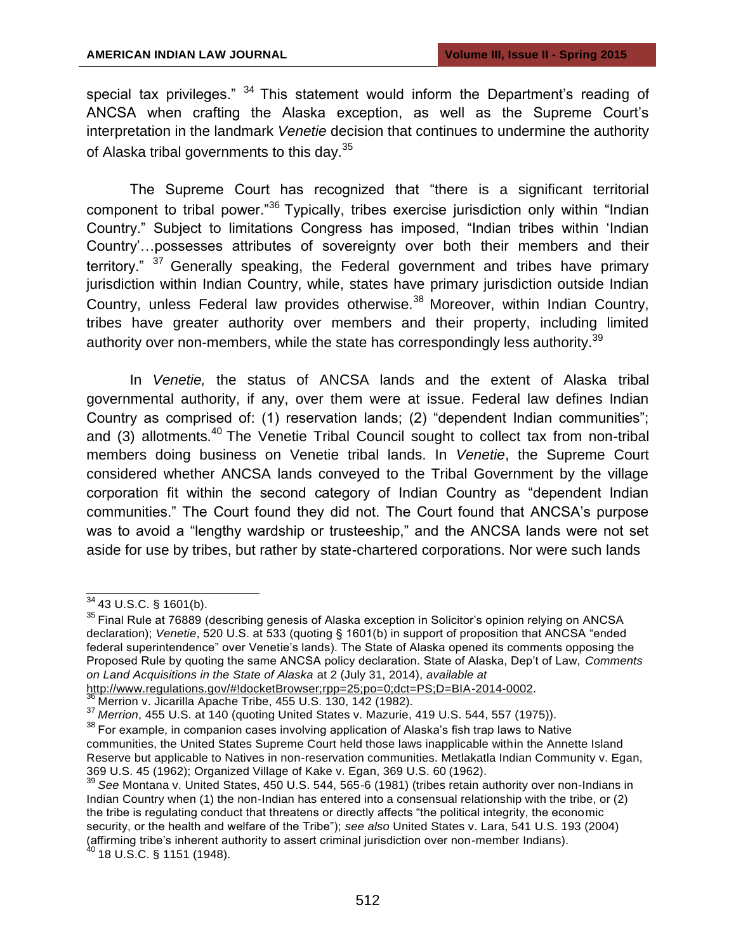special tax privileges."  $34$  This statement would inform the Department's reading of ANCSA when crafting the Alaska exception, as well as the Supreme Court's interpretation in the landmark *Venetie* decision that continues to undermine the authority of Alaska tribal governments to this day.<sup>35</sup>

The Supreme Court has recognized that "there is a significant territorial component to tribal power."<sup>36</sup> Typically, tribes exercise jurisdiction only within "Indian Country." Subject to limitations Congress has imposed, "Indian tribes within 'Indian Country'…possesses attributes of sovereignty over both their members and their territory."  $37$  Generally speaking, the Federal government and tribes have primary jurisdiction within Indian Country, while, states have primary jurisdiction outside Indian Country, unless Federal law provides otherwise.<sup>38</sup> Moreover, within Indian Country, tribes have greater authority over members and their property, including limited authority over non-members, while the state has correspondingly less authority.<sup>39</sup>

In *Venetie,* the status of ANCSA lands and the extent of Alaska tribal governmental authority, if any, over them were at issue. Federal law defines Indian Country as comprised of: (1) reservation lands; (2) "dependent Indian communities"; and (3) allotments. $40$  The Venetie Tribal Council sought to collect tax from non-tribal members doing business on Venetie tribal lands. In *Venetie*, the Supreme Court considered whether ANCSA lands conveyed to the Tribal Government by the village corporation fit within the second category of Indian Country as "dependent Indian communities." The Court found they did not. The Court found that ANCSA's purpose was to avoid a "lengthy wardship or trusteeship," and the ANCSA lands were not set aside for use by tribes, but rather by state-chartered corporations. Nor were such lands

[http://www.regulations.gov/#!docketBrowser;rpp=25;po=0;dct=PS;D=BIA-2014-0002.](http://www.regulations.gov/#!docketBrowser%3Brpp%3D25%3Bpo%3D0%3Bdct%3DPS%3BD%3DBIA-2014-0002)

Merrion v. Jicarilla Apache Tribe, 455 U.S. 130, 142 (1982).

 $^{40}$  18 U.S.C. § 1151 (1948).

 $34$  43 U.S.C. § 1601(b).

<sup>&</sup>lt;sup>35</sup> Final Rule at 76889 (describing genesis of Alaska exception in Solicitor's opinion relying on ANCSA declaration); *Venetie*, 520 U.S. at 533 (quoting § 1601(b) in support of proposition that ANCSA "ended federal superintendence" over Venetie's lands). The State of Alaska opened its comments opposing the Proposed Rule by quoting the same ANCSA policy declaration. State of Alaska, Dep't of Law, *Comments on Land Acquisitions in the State of Alaska* at 2 (July 31, 2014), *available at* 

<sup>37</sup>*Merrion*, 455 U.S. at 140 (quoting United States v. Mazurie, 419 U.S. 544, 557 (1975)).

<sup>&</sup>lt;sup>38</sup> For example, in companion cases involving application of Alaska's fish trap laws to Native communities, the United States Supreme Court held those laws inapplicable within the Annette Island Reserve but applicable to Natives in non-reservation communities. Metlakatla Indian Community v. Egan, 369 U.S. 45 (1962); Organized Village of Kake v. Egan, 369 U.S. 60 (1962).

<sup>39</sup>*See* Montana v. United States, 450 U.S. 544, 565-6 (1981) (tribes retain authority over non-Indians in Indian Country when (1) the non-Indian has entered into a consensual relationship with the tribe, or (2) the tribe is regulating conduct that threatens or directly affects "the political integrity, the economic security, or the health and welfare of the Tribe"); *see also* United States v. Lara, 541 U.S. 193 (2004) (affirming tribe's inherent authority to assert criminal jurisdiction over non-member Indians).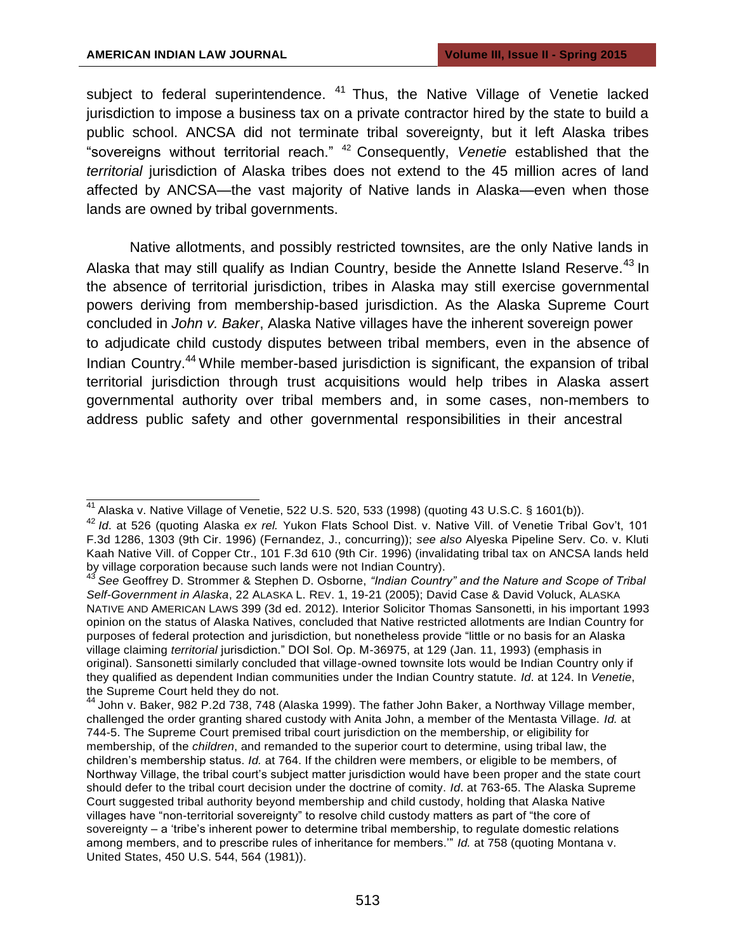subject to federal superintendence.  $41$  Thus, the Native Village of Venetie lacked jurisdiction to impose a business tax on a private contractor hired by the state to build a public school. ANCSA did not terminate tribal sovereignty, but it left Alaska tribes "sovereigns without territorial reach."<sup>42</sup> Consequently, Venetie established that the territorial jurisdiction of Alaska tribes does not extend to the 45 million acres of land affected by ANCSA—the vast majority of Native lands in Alaska—even when those lands are owned by tribal governments.

Native allotments, and possibly restricted townsites, are the only Native lands in Alaska that may still qualify as Indian Country, beside the Annette Island Reserve.<sup>43</sup> In the absence of territorial jurisdiction, tribes in Alaska may still exercise governmental powers deriving from membership-based jurisdiction. As the Alaska Supreme Court concluded in *John v. Baker*, Alaska Native villages have the inherent sovereign power to adjudicate child custody disputes between tribal members, even in the absence of Indian Country.<sup>44</sup>While member-based jurisdiction is significant, the expansion of tribal territorial jurisdiction through trust acquisitions would help tribes in Alaska assert governmental authority over tribal members and, in some cases, non-members to address public safety and other governmental responsibilities in their ancestral

 $\frac{41}{11}$  Alaska v. Native Village of Venetie, 522 U.S. 520, 533 (1998) (quoting 43 U.S.C. § 1601(b)).

<sup>42</sup>*Id*. at 526 (quoting Alaska *ex rel.* Yukon Flats School Dist. v. Native Vill. of Venetie Tribal Gov't, 101 F.3d 1286, 1303 (9th Cir. 1996) (Fernandez, J., concurring)); *see also* Alyeska Pipeline Serv. Co. v. Kluti Kaah Native Vill. of Copper Ctr., 101 F.3d 610 (9th Cir. 1996) (invalidating tribal tax on ANCSA lands held by village corporation because such lands were not Indian Country).

<sup>43</sup>*See* Geoffrey D. Strommer & Stephen D. Osborne, *"Indian Country" and the Nature and Scope of Tribal Self-Government in Alaska*, 22 ALASKA L. REV. 1, 19-21 (2005); David Case & David Voluck, ALASKA NATIVE AND AMERICAN LAWS 399 (3d ed. 2012). Interior Solicitor Thomas Sansonetti, in his important 1993 opinion on the status of Alaska Natives, concluded that Native restricted allotments are Indian Country for purposes of federal protection and jurisdiction, but nonetheless provide "little or no basis for an Alaska village claiming *territorial* jurisdiction." DOI Sol. Op. M-36975, at 129 (Jan. 11, 1993) (emphasis in original). Sansonetti similarly concluded that village-owned townsite lots would be Indian Country only if they qualified as dependent Indian communities under the Indian Country statute. *Id*. at 124. In *Venetie*, the Supreme Court held they do not.

<sup>&</sup>lt;sup>44</sup> John v. Baker, 982 P.2d 738, 748 (Alaska 1999). The father John Baker, a Northway Village member, challenged the order granting shared custody with Anita John, a member of the Mentasta Village. *Id.* at 744-5. The Supreme Court premised tribal court jurisdiction on the membership, or eligibility for membership, of the *children*, and remanded to the superior court to determine, using tribal law, the children's membership status. *Id.* at 764. If the children were members, or eligible to be members, of Northway Village, the tribal court's subject matter jurisdiction would have been proper and the state court should defer to the tribal court decision under the doctrine of comity. *Id*. at 763-65. The Alaska Supreme Court suggested tribal authority beyond membership and child custody, holding that Alaska Native villages have "non-territorial sovereignty" to resolve child custody matters as part of "the core of sovereignty – a 'tribe's inherent power to determine tribal membership, to regulate domestic relations among members, and to prescribe rules of inheritance for members.'" *Id.* at 758 (quoting Montana v. United States, 450 U.S. 544, 564 (1981)).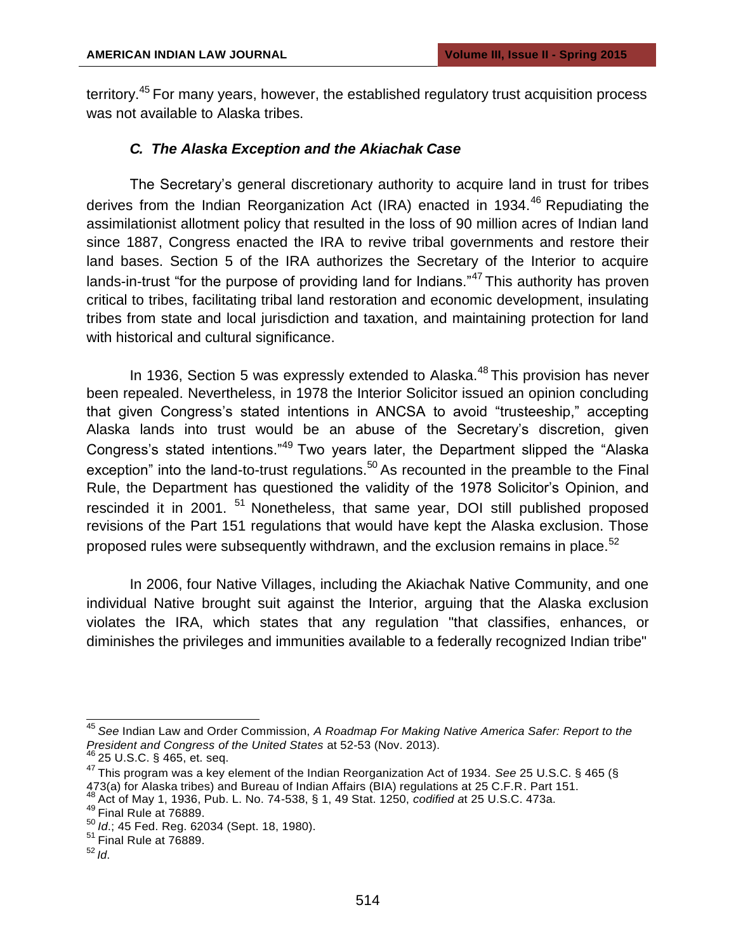territory.<sup>45</sup> For many years, however, the established regulatory trust acquisition process was not available to Alaska tribes.

## *C. The Alaska Exception and the Akiachak Case*

The Secretary's general discretionary authority to acquire land in trust for tribes derives from the Indian Reorganization Act (IRA) enacted in 1934.<sup>46</sup> Repudiating the assimilationist allotment policy that resulted in the loss of 90 million acres of Indian land since 1887, Congress enacted the IRA to revive tribal governments and restore their land bases. Section 5 of the IRA authorizes the Secretary of the Interior to acquire lands-in-trust "for the purpose of providing land for Indians."<sup>47</sup> This authority has proven critical to tribes, facilitating tribal land restoration and economic development, insulating tribes from state and local jurisdiction and taxation, and maintaining protection for land with historical and cultural significance.

In 1936, Section 5 was expressly extended to Alaska. $48$  This provision has never been repealed. Nevertheless, in 1978 the Interior Solicitor issued an opinion concluding that given Congress's stated intentions in ANCSA to avoid "trusteeship," accepting Alaska lands into trust would be an abuse of the Secretary's discretion, given Congress's stated intentions."<sup>49</sup> Two years later, the Department slipped the "Alaska exception" into the land-to-trust regulations.<sup>50</sup> As recounted in the preamble to the Final Rule, the Department has questioned the validity of the 1978 Solicitor's Opinion, and rescinded it in 2001.  $51$  Nonetheless, that same year, DOI still published proposed revisions of the Part 151 regulations that would have kept the Alaska exclusion. Those proposed rules were subsequently withdrawn, and the exclusion remains in place. $52$ 

In 2006, four Native Villages, including the Akiachak Native Community, and one individual Native brought suit against the Interior, arguing that the Alaska exclusion violates the IRA, which states that any regulation "that classifies, enhances, or diminishes the privileges and immunities available to a federally recognized Indian tribe"

<sup>45</sup>*See* Indian Law and Order Commission, *A Roadmap For Making Native America Safer: Report to the President and Congress of the United States* at 52-53 (Nov. 2013).

 $46$  25 U.S.C. § 465, et. seq.

<sup>47</sup>This program was a key element of the Indian Reorganization Act of 1934. *See* 25 U.S.C. § 465 (§ 473(a) for Alaska tribes) and Bureau of Indian Affairs (BIA) regulations at 25 C.F.R. Part 151.

<sup>48</sup>Act of May 1, 1936, Pub. L. No. 74-538, § 1, 49 Stat. 1250, *codified a*t 25 U.S.C. 473a.

 $49$  Final Rule at 76889.

<sup>50</sup>*Id*.; 45 Fed. Reg. 62034 (Sept. 18, 1980).

 $<sup>51</sup>$  Final Rule at 76889.</sup>

<sup>52</sup>*Id*.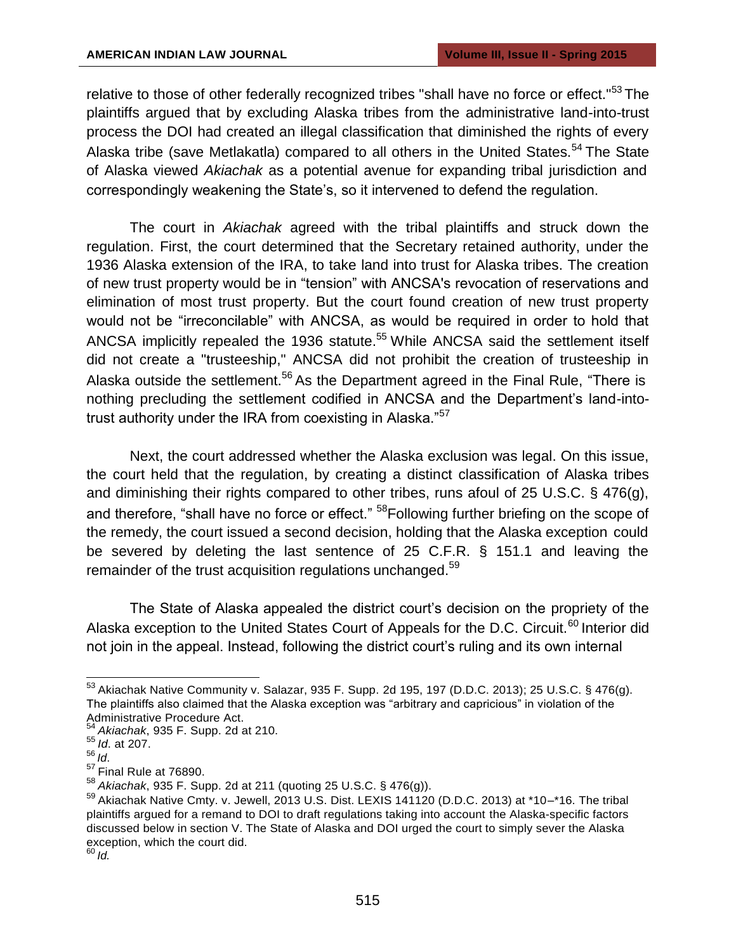relative to those of other federally recognized tribes "shall have no force or effect."<sup>53</sup>The plaintiffs argued that by excluding Alaska tribes from the administrative land-into-trust process the DOI had created an illegal classification that diminished the rights of every Alaska tribe (save Metlakatla) compared to all others in the United States.<sup>54</sup> The State of Alaska viewed *Akiachak* as a potential avenue for expanding tribal jurisdiction and correspondingly weakening the State's, so it intervened to defend the regulation.

The court in *Akiachak* agreed with the tribal plaintiffs and struck down the regulation. First, the court determined that the Secretary retained authority, under the 1936 Alaska extension of the IRA, to take land into trust for Alaska tribes. The creation of new trust property would be in "tension" with ANCSA's revocation of reservations and elimination of most trust property. But the court found creation of new trust property would not be "irreconcilable" with ANCSA, as would be required in order to hold that ANCSA implicitly repealed the 1936 statute.<sup>55</sup> While ANCSA said the settlement itself did not create a "trusteeship," ANCSA did not prohibit the creation of trusteeship in Alaska outside the settlement.<sup>56</sup> As the Department agreed in the Final Rule, "There is nothing precluding the settlement codified in ANCSA and the Department's land-intotrust authority under the IRA from coexisting in Alaska."<sup>57</sup>

Next, the court addressed whether the Alaska exclusion was legal. On this issue, the court held that the regulation, by creating a distinct classification of Alaska tribes and diminishing their rights compared to other tribes, runs afoul of 25 U.S.C. § 476(g), and therefore, "shall have no force or effect." <sup>58</sup>Following further briefing on the scope of the remedy, the court issued a second decision, holding that the Alaska exception could be severed by deleting the last sentence of 25 C.F.R. § 151.1 and leaving the remainder of the trust acquisition regulations unchanged.<sup>59</sup>

The State of Alaska appealed the district court's decision on the propriety of the Alaska exception to the United States Court of Appeals for the D.C. Circuit.<sup>60</sup> Interior did not join in the appeal. Instead, following the district court's ruling and its own internal

<sup>53</sup>Akiachak Native Community v. Salazar, 935 F. Supp. 2d 195, 197 (D.D.C. 2013); 25 U.S.C. § 476(g). The plaintiffs also claimed that the Alaska exception was "arbitrary and capricious" in violation of the Administrative Procedure Act.

<sup>54</sup>*Akiachak*, 935 F. Supp. 2d at 210.

<sup>55</sup>*Id*. at 207.

<sup>56</sup>*Id*.

 $57$  Final Rule at 76890.

<sup>58</sup>*Akiachak*, 935 F. Supp. 2d at 211 (quoting 25 U.S.C. § 476(g)).

<sup>59</sup> Akiachak Native Cmty. v. Jewell, 2013 U.S. Dist. LEXIS 141120 (D.D.C. 2013) at \*10-\*16. The tribal plaintiffs argued for a remand to DOI to draft regulations taking into account the Alaska-specific factors discussed below in section V. The State of Alaska and DOI urged the court to simply sever the Alaska exception, which the court did.

<sup>60</sup>*Id.*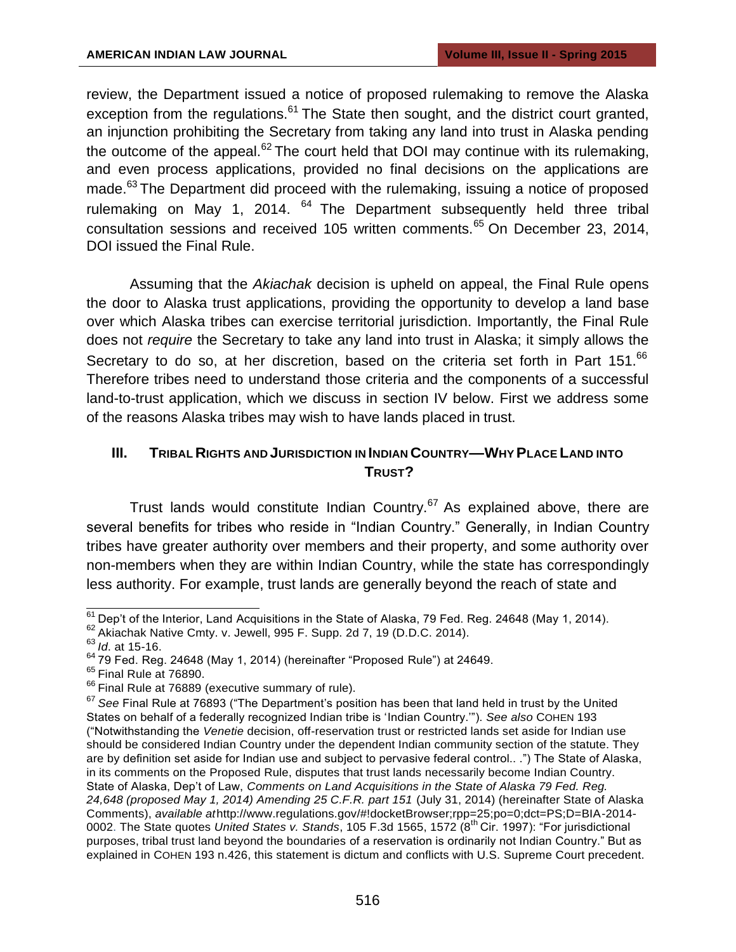review, the Department issued a notice of proposed rulemaking to remove the Alaska exception from the regulations. $61$ The State then sought, and the district court granted, an injunction prohibiting the Secretary from taking any land into trust in Alaska pending the outcome of the appeal. $62$  The court held that DOI may continue with its rulemaking, and even process applications, provided no final decisions on the applications are made.<sup>63</sup> The Department did proceed with the rulemaking, issuing a notice of proposed rulemaking on May 1, 2014.  $64$  The Department subsequently held three tribal consultation sessions and received 105 written comments.<sup>65</sup> On December 23, 2014, DOI issued the Final Rule.

Assuming that the *Akiachak* decision is upheld on appeal, the Final Rule opens the door to Alaska trust applications, providing the opportunity to develop a land base over which Alaska tribes can exercise territorial jurisdiction. Importantly, the Final Rule does not *require* the Secretary to take any land into trust in Alaska; it simply allows the Secretary to do so, at her discretion, based on the criteria set forth in Part 151.<sup>66</sup> Therefore tribes need to understand those criteria and the components of a successful land-to-trust application, which we discuss in section IV below. First we address some of the reasons Alaska tribes may wish to have lands placed in trust.

# **III. TRIBAL RIGHTS AND JURISDICTION IN INDIAN COUNTRY—WHY PLACE LAND INTO TRUST?**

Trust lands would constitute Indian Country.<sup>67</sup> As explained above, there are several benefits for tribes who reside in "Indian Country." Generally, in Indian Country tribes have greater authority over members and their property, and some authority over non-members when they are within Indian Country, while the state has correspondingly less authority. For example, trust lands are generally beyond the reach of state and

 $\frac{61}{61}$  Dep't of the Interior, Land Acquisitions in the State of Alaska, 79 Fed. Reg. 24648 (May 1, 2014).

 $62$  Akiachak Native Cmty. v. Jewell, 995 F. Supp. 2d 7, 19 (D.D.C. 2014).

<sup>63</sup>*Id*. at 15-16.

 $64$  79 Fed. Reg. 24648 (May 1, 2014) (hereinafter "Proposed Rule") at 24649.

 $<sup>65</sup>$  Final Rule at 76890.</sup>

 $66$  Final Rule at 76889 (executive summary of rule).

<sup>67</sup>*See* Final Rule at 76893 ("The Department's position has been that land held in trust by the United States on behalf of a federally recognized Indian tribe is 'Indian Country.'"). *See also* COHEN 193 ("Notwithstanding the *Venetie* decision, off-reservation trust or restricted lands set aside for Indian use should be considered Indian Country under the dependent Indian community section of the statute. They are by definition set aside for Indian use and subject to pervasive federal control.. .") The State of Alaska, in its comments on the Proposed Rule, disputes that trust lands necessarily become Indian Country. State of Alaska, Dep't of Law, *Comments on Land Acquisitions in the State of Alaska 79 Fed. Reg.*  24,648 (proposed May 1, 2014) Amending 25 C.F.R. part 151 (July 31, 2014) (hereinafter State of Alaska Comments), *available at*[http://www.regulations.gov/#!docketBrowser;rpp=25;po=0;dct=PS;D=BIA-2014-](http://www.regulations.gov/#!docketBrowser%3Brpp%3D25%3Bpo%3D0%3Bdct%3DPS%3BD%3DBIA-2014-) 0002. The State quotes *United States v. Stands*, 105 F.3d 1565, 1572 (8th Cir. 1997): "For jurisdictional purposes, tribal trust land beyond the boundaries of a reservation is ordinarily not Indian Country." But as explained in COHEN 193 n.426, this statement is dictum and conflicts with U.S. Supreme Court precedent.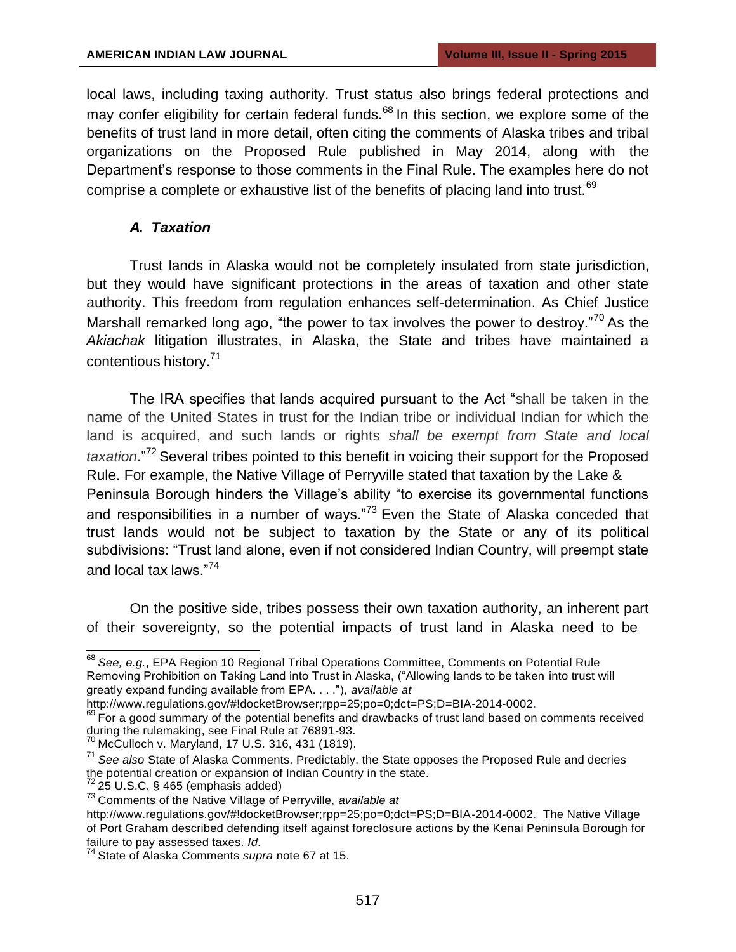local laws, including taxing authority. Trust status also brings federal protections and may confer eligibility for certain federal funds.<sup>68</sup> In this section, we explore some of the benefits of trust land in more detail, often citing the comments of Alaska tribes and tribal organizations on the Proposed Rule published in May 2014, along with the Department's response to those comments in the Final Rule. The examples here do not comprise a complete or exhaustive list of the benefits of placing land into trust.<sup>69</sup>

#### *A. Taxation*

Trust lands in Alaska would not be completely insulated from state jurisdiction, but they would have significant protections in the areas of taxation and other state authority. This freedom from regulation enhances self-determination. As Chief Justice Marshall remarked long ago, "the power to tax involves the power to destroy."<sup>70</sup> As the *Akiachak* litigation illustrates, in Alaska, the State and tribes have maintained a contentious history.<sup>71</sup>

The IRA specifies that lands acquired pursuant to the Act "shall be taken in the name of the United States in trust for the Indian tribe or individual Indian for which the land is acquired, and such lands or rights *shall be exempt from State and local*  taxation."<sup>72</sup> Several tribes pointed to this benefit in voicing their support for the Proposed Rule. For example, the Native Village of Perryville stated that taxation by the Lake & Peninsula Borough hinders the Village's ability "to exercise its governmental functions and responsibilities in a number of ways." $73$  Even the State of Alaska conceded that trust lands would not be subject to taxation by the State or any of its political subdivisions: "Trust land alone, even if not considered Indian Country, will preempt state and local tax laws."<sup>74</sup>

On the positive side, tribes possess their own taxation authority, an inherent part of their sovereignty, so the potential impacts of trust land in Alaska need to be

<sup>68</sup>*See, e.g.*, EPA Region 10 Regional Tribal Operations Committee, Comments on Potential Rule Removing Prohibition on Taking Land into Trust in Alaska, ("Allowing lands to be taken into trust will greatly expand funding available from EPA. . . ."), *available at* 

[http://www.regulations.gov/#!docketBrowser;rpp=25;po=0;dct=PS;D=BIA-2014-0002.](http://www.regulations.gov/#!docketBrowser%3Brpp%3D25%3Bpo%3D0%3Bdct%3DPS%3BD%3DBIA-2014-0002)

 $69$  For a good summary of the potential benefits and drawbacks of trust land based on comments received during the rulemaking, see Final Rule at 76891-93.

 $^{70}$  McCulloch v. Maryland, 17 U.S. 316, 431 (1819).

<sup>71</sup>*See also* State of Alaska Comments. Predictably, the State opposes the Proposed Rule and decries the potential creation or expansion of Indian Country in the state.

 $72$  25 U.S.C. § 465 (emphasis added)

<sup>73</sup>Comments of the Native Village of Perryville, *available at* 

[http://www.regulations.gov/#!docketBrowser;rpp=25;po=0;dct=PS;D=BIA-2014-0002.](http://www.regulations.gov/#!docketBrowser%3Brpp%3D25%3Bpo%3D0%3Bdct%3DPS%3BD%3DBIA-2014-0002) The Native Village of Port Graham described defending itself against foreclosure actions by the Kenai Peninsula Borough for failure to pay assessed taxes. *Id*.

<sup>74</sup>State of Alaska Comments *supra* note 67 at 15.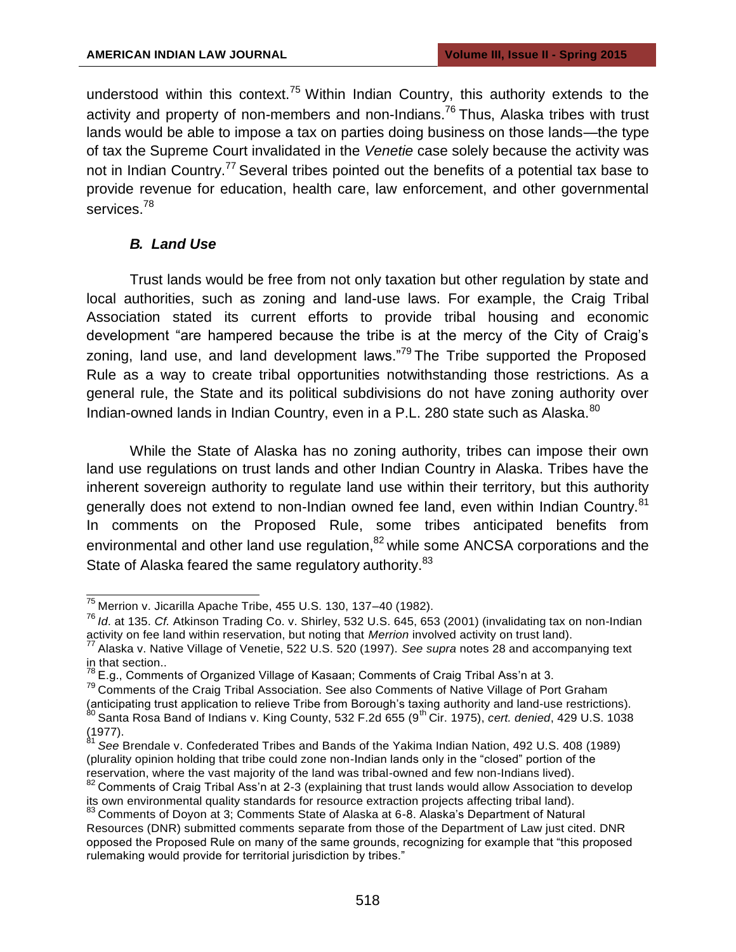understood within this context.<sup>75</sup> Within Indian Country, this authority extends to the activity and property of non-members and non-Indians.<sup>76</sup> Thus, Alaska tribes with trust lands would be able to impose a tax on parties doing business on those lands—the type of tax the Supreme Court invalidated in the *Venetie* case solely because the activity was not in Indian Country.<sup>77</sup> Several tribes pointed out the benefits of a potential tax base to provide revenue for education, health care, law enforcement, and other governmental services.<sup>78</sup>

#### *B. Land Use*

Trust lands would be free from not only taxation but other regulation by state and local authorities, such as zoning and land-use laws. For example, the Craig Tribal Association stated its current efforts to provide tribal housing and economic development "are hampered because the tribe is at the mercy of the City of Craig's zoning, land use, and land development laws."<sup>79</sup> The Tribe supported the Proposed Rule as a way to create tribal opportunities notwithstanding those restrictions. As a general rule, the State and its political subdivisions do not have zoning authority over Indian-owned lands in Indian Country, even in a P.L. 280 state such as Alaska.<sup>80</sup>

While the State of Alaska has no zoning authority, tribes can impose their own land use regulations on trust lands and other Indian Country in Alaska. Tribes have the inherent sovereign authority to regulate land use within their territory, but this authority generally does not extend to non-Indian owned fee land, even within Indian Country.<sup>81</sup> In comments on the Proposed Rule, some tribes anticipated benefits from environmental and other land use regulation,<sup>82</sup> while some ANCSA corporations and the State of Alaska feared the same regulatory authority.<sup>83</sup>

 $75$  Merrion v. Jicarilla Apache Tribe, 455 U.S. 130, 137-40 (1982).

<sup>76</sup>*Id*. at 135. *Cf.* Atkinson Trading Co. v. Shirley, 532 U.S. 645, 653 (2001) (invalidating tax on non-Indian activity on fee land within reservation, but noting that *Merrion* involved activity on trust land).

<sup>77</sup>Alaska v. Native Village of Venetie, 522 U.S. 520 (1997). *See supra* notes 28 and accompanying text in that section..

 $^{78}$  E.g., Comments of Organized Village of Kasaan; Comments of Craig Tribal Ass'n at 3.

 $79$  Comments of the Craig Tribal Association. See also Comments of Native Village of Port Graham (anticipating trust application to relieve Tribe from Borough's taxing authority and land-use restrictions).  $^{80}$  Santa Rosa Band of Indians v. King County, 532 F.2d 655 (9<sup>th</sup> Cir. 1975), *cert. denied*, 429 U.S. 1038

<sup>(1977).</sup>

<sup>81</sup>*See* Brendale v. Confederated Tribes and Bands of the Yakima Indian Nation, 492 U.S. 408 (1989) (plurality opinion holding that tribe could zone non-Indian lands only in the "closed" portion of the reservation, where the vast majority of the land was tribal-owned and few non-Indians lived).

<sup>&</sup>lt;sup>82</sup> Comments of Craig Tribal Ass'n at 2-3 (explaining that trust lands would allow Association to develop its own environmental quality standards for resource extraction projects affecting tribal land).

<sup>83</sup> Comments of Doyon at 3; Comments State of Alaska at 6-8. Alaska's Department of Natural Resources (DNR) submitted comments separate from those of the Department of Law just cited. DNR opposed the Proposed Rule on many of the same grounds, recognizing for example that "this proposed rulemaking would provide for territorial jurisdiction by tribes."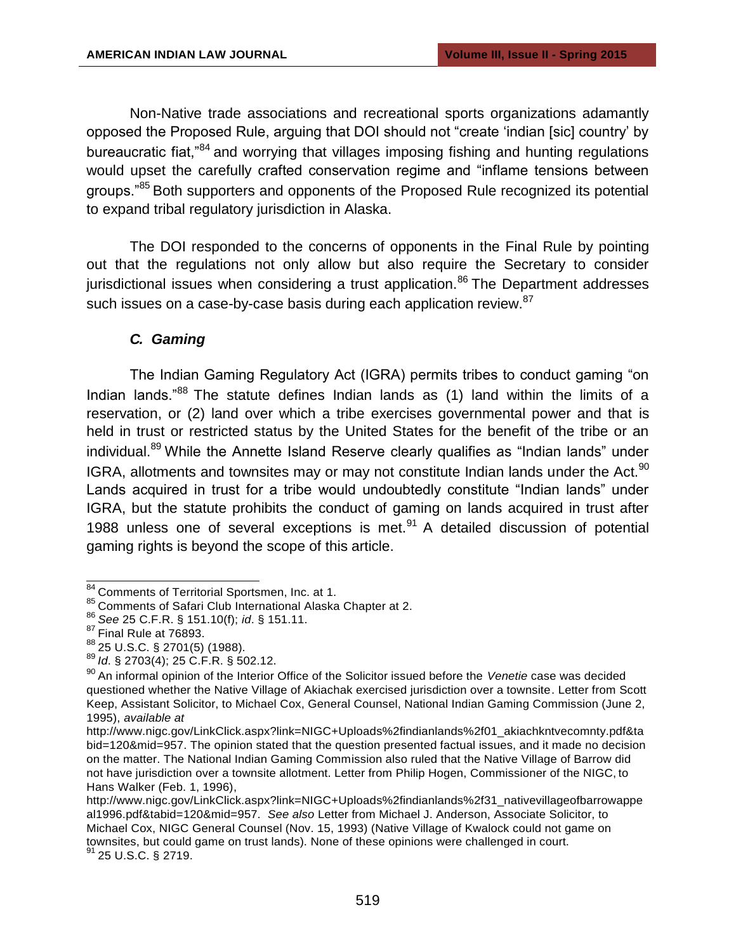Non-Native trade associations and recreational sports organizations adamantly opposed the Proposed Rule, arguing that DOI should not "create 'indian [sic] country' by bureaucratic fiat,<sup>84</sup> and worrying that villages imposing fishing and hunting regulations would upset the carefully crafted conservation regime and "inflame tensions between groups."<sup>85</sup> Both supporters and opponents of the Proposed Rule recognized its potential to expand tribal regulatory jurisdiction in Alaska.

The DOI responded to the concerns of opponents in the Final Rule by pointing out that the regulations not only allow but also require the Secretary to consider jurisdictional issues when considering a trust application.<sup>86</sup> The Department addresses such issues on a case-by-case basis during each application review.<sup>87</sup>

## *C. Gaming*

The Indian Gaming Regulatory Act (IGRA) permits tribes to conduct gaming "on Indian lands." $88$  The statute defines Indian lands as (1) land within the limits of a reservation, or (2) land over which a tribe exercises governmental power and that is held in trust or restricted status by the United States for the benefit of the tribe or an individual.<sup>89</sup> While the Annette Island Reserve clearly qualifies as "Indian lands" under IGRA, allotments and townsites may or may not constitute Indian lands under the Act.<sup>90</sup> Lands acquired in trust for a tribe would undoubtedly constitute "Indian lands" under IGRA, but the statute prohibits the conduct of gaming on lands acquired in trust after 1988 unless one of several exceptions is met. $91$  A detailed discussion of potential gaming rights is beyond the scope of this article.

 $91$  25 U.S.C. § 2719.

<sup>84</sup> Comments of Territorial Sportsmen, Inc. at 1.

<sup>85</sup> Comments of Safari Club International Alaska Chapter at 2.

<sup>86</sup>*See* 25 C.F.R. § 151.10(f); *id*. § 151.11.

 $87$  Final Rule at 76893.

<sup>88</sup>25 U.S.C. § 2701(5) (1988).

<sup>89</sup>*Id*. § 2703(4); 25 C.F.R. § 502.12.

<sup>&</sup>lt;sup>90</sup> An informal opinion of the Interior Office of the Solicitor issued before the *Venetie* case was decided questioned whether the Native Village of Akiachak exercised jurisdiction over a townsite. Letter from Scott Keep, Assistant Solicitor, to Michael Cox, General Counsel, National Indian Gaming Commission (June 2, 1995), *available at* 

[http://www.nigc.gov/LinkClick.aspx?link=NIGC+Uploads%2findianlands%2f01\\_akiachkntvecomnty.pdf&ta](http://www.nigc.gov/LinkClick.aspx?link=NIGC%2BUploads%2findianlands%2f01_akiachkntvecomnty.pdf&ta) bid=120&mid=957. The opinion stated that the question presented factual issues, and it made no decision on the matter. The National Indian Gaming Commission also ruled that the Native Village of Barrow did not have jurisdiction over a townsite allotment. Letter from Philip Hogen, Commissioner of the NIGC, to Hans Walker (Feb. 1, 1996),

[http://www.nigc.gov/LinkClick.aspx?link=NIGC+Uploads%2findianlands%2f31\\_nativevillageofbarrowappe](http://www.nigc.gov/LinkClick.aspx?link=NIGC%2BUploads%2findianlands%2f31_nativevillageofbarrowappe) al1996.pdf&tabid=120&mid=957. *See also* Letter from Michael J. Anderson, Associate Solicitor, to Michael Cox, NIGC General Counsel (Nov. 15, 1993) (Native Village of Kwalock could not game on townsites, but could game on trust lands). None of these opinions were challenged in court.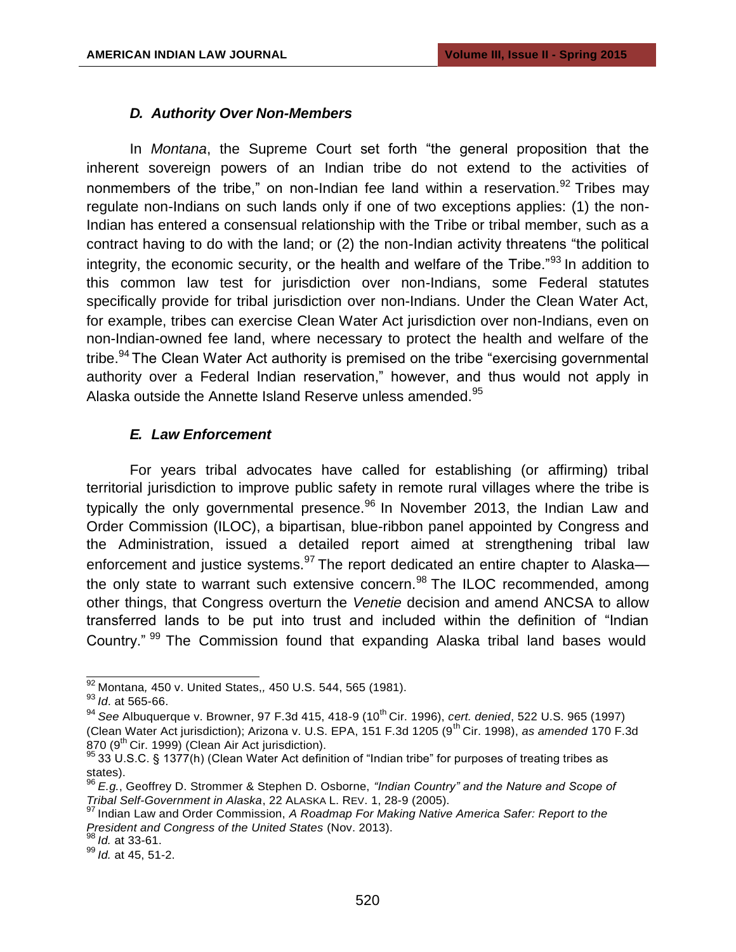## *D. Authority Over Non-Members*

In *Montana*, the Supreme Court set forth "the general proposition that the inherent sovereign powers of an Indian tribe do not extend to the activities of nonmembers of the tribe," on non-Indian fee land within a reservation.<sup>92</sup> Tribes mav regulate non-Indians on such lands only if one of two exceptions applies: (1) the non-Indian has entered a consensual relationship with the Tribe or tribal member, such as a contract having to do with the land; or (2) the non-Indian activity threatens "the political integrity, the economic security, or the health and welfare of the Tribe.<sup>"93</sup> In addition to this common law test for jurisdiction over non-Indians, some Federal statutes specifically provide for tribal jurisdiction over non-Indians. Under the Clean Water Act, for example, tribes can exercise Clean Water Act jurisdiction over non-Indians, even on non-Indian-owned fee land, where necessary to protect the health and welfare of the tribe.<sup>94</sup> The Clean Water Act authority is premised on the tribe "exercising governmental authority over a Federal Indian reservation," however, and thus would not apply in Alaska outside the Annette Island Reserve unless amended. $95$ 

## *E. Law Enforcement*

For years tribal advocates have called for establishing (or affirming) tribal territorial jurisdiction to improve public safety in remote rural villages where the tribe is typically the only governmental presence.<sup>96</sup> In November 2013, the Indian Law and Order Commission (ILOC), a bipartisan, blue-ribbon panel appointed by Congress and the Administration, issued a detailed report aimed at strengthening tribal law enforcement and justice systems.<sup>97</sup> The report dedicated an entire chapter to Alaskathe only state to warrant such extensive concern.  $98$  The ILOC recommended, among other things, that Congress overturn the *Venetie* decision and amend ANCSA to allow transferred lands to be put into trust and included within the definition of "Indian Country." <sup>99</sup> The Commission found that expanding Alaska tribal land bases would

<sup>92</sup>Montana*,* 450 v. United States,*,* 450 U.S. 544, 565 (1981).

<sup>93</sup>*Id*. at 565-66.

<sup>&</sup>lt;sup>94</sup> See Albuquerque v. Browner, 97 F.3d 415, 418-9 (10<sup>th</sup> Cir. 1996), *cert. denied*, 522 U.S. 965 (1997) (Clean Water Act jurisdiction); Arizona v. U.S. EPA, 151 F.3d 1205 (9<sup>th</sup> Cir. 1998), *as amended* 170 F.3d 870 (9<sup>th</sup> Cir. 1999) (Clean Air Act jurisdiction).

<sup>33</sup> U.S.C. § 1377(h) (Clean Water Act definition of "Indian tribe" for purposes of treating tribes as states).

<sup>96</sup>*E.g.*, Geoffrey D. Strommer & Stephen D. Osborne, *"Indian Country" and the Nature and Scope of Tribal Self-Government in Alaska*, 22 ALASKA L. REV. 1, 28-9 (2005).

<sup>&</sup>lt;sup>97</sup> Indian Law and Order Commission, *A Roadmap For Making Native America Safer: Report to the President and Congress of the United States* (Nov. 2013).

<sup>98</sup>*Id.* at 33-61.

<sup>99</sup>*Id.* at 45, 51-2.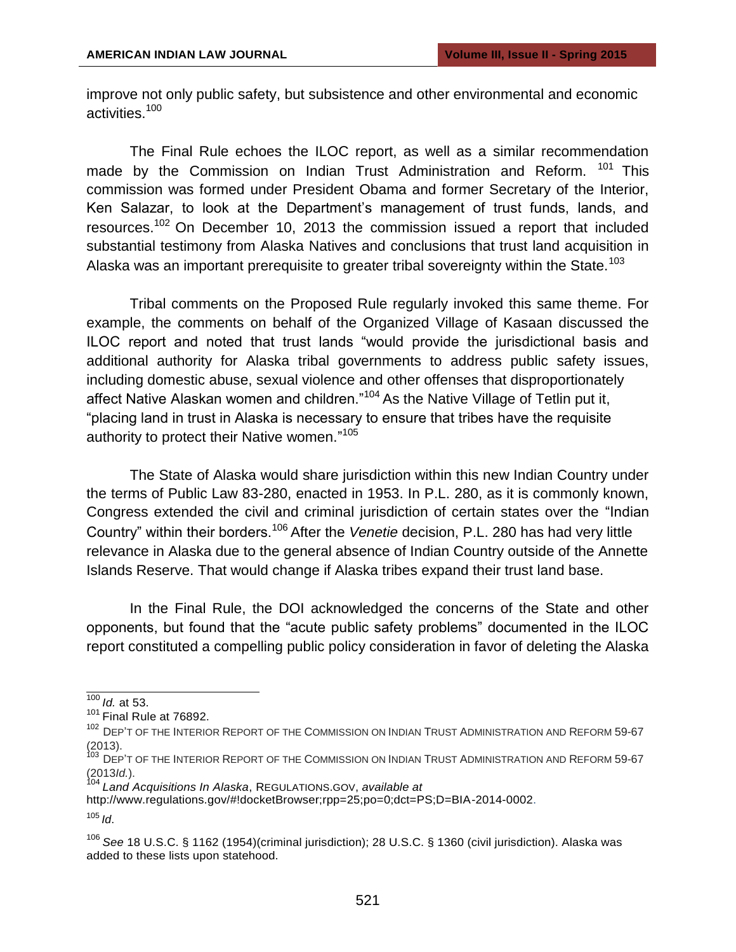improve not only public safety, but subsistence and other environmental and economic activities.<sup>100</sup>

The Final Rule echoes the ILOC report, as well as a similar recommendation made by the Commission on Indian Trust Administration and Reform. <sup>101</sup> This commission was formed under President Obama and former Secretary of the Interior, Ken Salazar, to look at the Department's management of trust funds, lands, and resources.<sup>102</sup> On December 10, 2013 the commission issued a report that included substantial testimony from Alaska Natives and conclusions that trust land acquisition in Alaska was an important prerequisite to greater tribal sovereignty within the State.<sup>103</sup>

Tribal comments on the Proposed Rule regularly invoked this same theme. For example, the comments on behalf of the Organized Village of Kasaan discussed the ILOC report and noted that trust lands "would provide the jurisdictional basis and additional authority for Alaska tribal governments to address public safety issues, including domestic abuse, sexual violence and other offenses that disproportionately affect Native Alaskan women and children."<sup>104</sup> As the Native Village of Tetlin put it, "placing land in trust in Alaska is necessary to ensure that tribes have the requisite authority to protect their Native women."<sup>105</sup>

The State of Alaska would share jurisdiction within this new Indian Country under the terms of Public Law 83-280, enacted in 1953. In P.L. 280, as it is commonly known, Congress extended the civil and criminal jurisdiction of certain states over the "Indian Country" within their borders.<sup>106</sup>After the *Venetie* decision, P.L. 280 has had very little relevance in Alaska due to the general absence of Indian Country outside of the Annette Islands Reserve. That would change if Alaska tribes expand their trust land base.

In the Final Rule, the DOI acknowledged the concerns of the State and other opponents, but found that the "acute public safety problems" documented in the ILOC report constituted a compelling public policy consideration in favor of deleting the Alaska

<sup>104</sup>*Land Acquisitions In Alaska*, REGULATIONS.GOV, *available at*

<sup>100</sup>*Id.* at 53.

 $101$  Final Rule at 76892.

<sup>&</sup>lt;sup>102</sup> DEP'T OF THE INTERIOR REPORT OF THE COMMISSION ON INDIAN TRUST ADMINISTRATION AND REFORM 59-67 (2013).

<sup>&</sup>lt;sup>103</sup> DEP'T OF THE INTERIOR REPORT OF THE COMMISSION ON INDIAN TRUST ADMINISTRATION AND REFORM 59-67 (2013*Id.*).

[http://www.regulations.gov/#!docketBrowser;rpp=25;po=0;dct=PS;D=BIA-2014-0002.](http://www.regulations.gov/#!docketBrowser%3Brpp%3D25%3Bpo%3D0%3Bdct%3DPS%3BD%3DBIA-2014-0002)

<sup>105</sup>*Id*.

<sup>106</sup>*See* 18 U.S.C. § 1162 (1954)(criminal jurisdiction); 28 U.S.C. § 1360 (civil jurisdiction). Alaska was added to these lists upon statehood.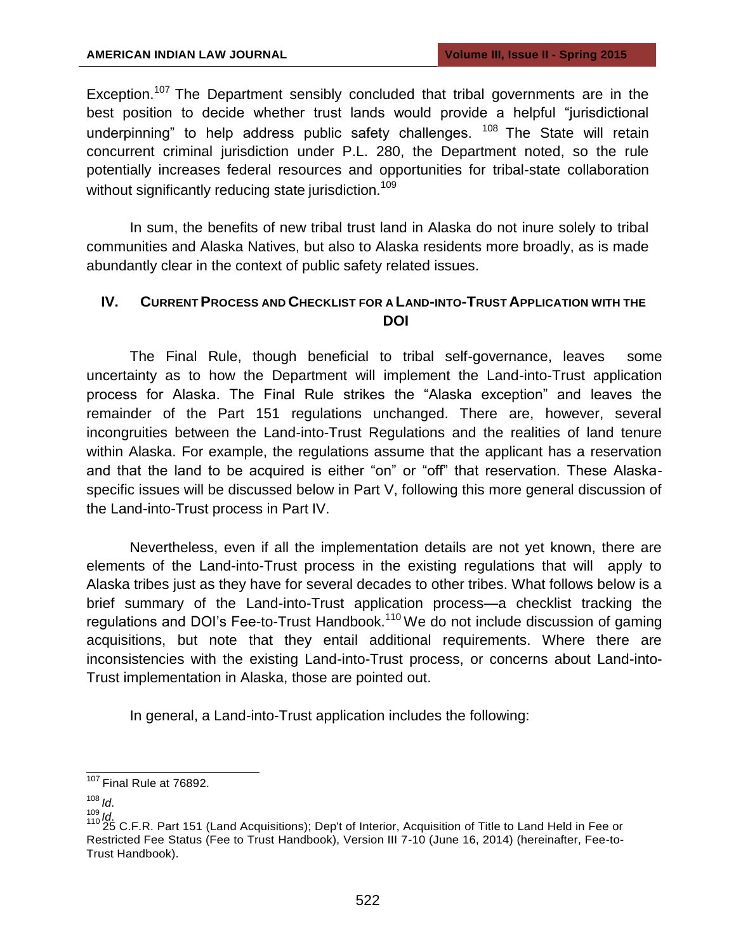Exception.<sup>107</sup> The Department sensibly concluded that tribal governments are in the best position to decide whether trust lands would provide a helpful "jurisdictional underpinning" to help address public safety challenges.  $108$  The State will retain concurrent criminal jurisdiction under P.L. 280, the Department noted, so the rule potentially increases federal resources and opportunities for tribal-state collaboration without significantly reducing state jurisdiction.<sup>109</sup>

In sum, the benefits of new tribal trust land in Alaska do not inure solely to tribal communities and Alaska Natives, but also to Alaska residents more broadly, as is made abundantly clear in the context of public safety related issues.

## **IV. CURRENTPROCESS AND CHECKLIST FOR A LAND-INTO-TRUST APPLICATION WITH THE DOI**

The Final Rule, though beneficial to tribal self-governance, leaves some uncertainty as to how the Department will implement the Land-into-Trust application process for Alaska. The Final Rule strikes the "Alaska exception" and leaves the remainder of the Part 151 regulations unchanged. There are, however, several incongruities between the Land-into-Trust Regulations and the realities of land tenure within Alaska. For example, the regulations assume that the applicant has a reservation and that the land to be acquired is either "on" or "off" that reservation. These Alaskaspecific issues will be discussed below in Part V, following this more general discussion of the Land-into-Trust process in Part IV.

Nevertheless, even if all the implementation details are not yet known, there are elements of the Land-into-Trust process in the existing regulations that will apply to Alaska tribes just as they have for several decades to other tribes. What follows below is a brief summary of the Land-into-Trust application process—a checklist tracking the regulations and DOI's Fee-to-Trust Handbook.<sup>110</sup> We do not include discussion of gaming acquisitions, but note that they entail additional requirements. Where there are inconsistencies with the existing Land-into-Trust process, or concerns about Land-into-Trust implementation in Alaska, those are pointed out.

In general, a Land-into-Trust application includes the following:

 $107$  Final Rule at 76892.

 $108$  *Id.* 

<sup>&</sup>lt;sup>109</sup>*Id.*<br><sup>110</sup> 25 C.F.R. Part 151 (Land Acquisitions); Dep't of Interior, Acquisition of Title to Land Held in Fee or Restricted Fee Status (Fee to Trust Handbook), Version III 7-10 (June 16, 2014) (hereinafter, Fee-to-Trust Handbook).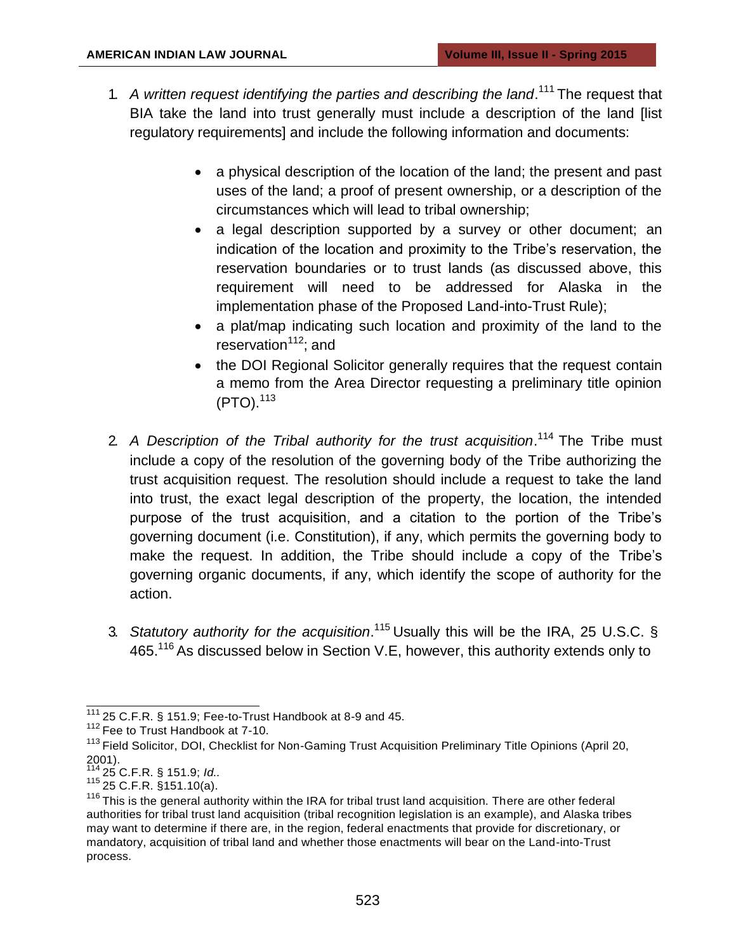- 1. A written request identifying the parties and describing the land.<sup>111</sup> The request that BIA take the land into trust generally must include a description of the land [list regulatory requirements] and include the following information and documents:
	- a physical description of the location of the land; the present and past uses of the land; a proof of present ownership, or a description of the circumstances which will lead to tribal ownership;
	- a legal description supported by a survey or other document; an indication of the location and proximity to the Tribe's reservation, the reservation boundaries or to trust lands (as discussed above, this requirement will need to be addressed for Alaska in the implementation phase of the Proposed Land-into-Trust Rule);
	- a plat/map indicating such location and proximity of the land to the reservation $112$ ; and
	- the DOI Regional Solicitor generally requires that the request contain a memo from the Area Director requesting a preliminary title opinion (PTO).<sup>113</sup>
- 2. A Description of the Tribal authority for the trust acquisition.<sup>114</sup> The Tribe must include a copy of the resolution of the governing body of the Tribe authorizing the trust acquisition request. The resolution should include a request to take the land into trust, the exact legal description of the property, the location, the intended purpose of the trust acquisition, and a citation to the portion of the Tribe's governing document (i.e. Constitution), if any, which permits the governing body to make the request. In addition, the Tribe should include a copy of the Tribe's governing organic documents, if any, which identify the scope of authority for the action.
- 3. *Statutory authority for the acquisition*. <sup>115</sup> Usually this will be the IRA, 25 U.S.C. § 465.<sup>116</sup> As discussed below in Section V.E, however, this authority extends only to

 $\frac{111}{111}$  25 C.F.R. § 151.9; Fee-to-Trust Handbook at 8-9 and 45.

<sup>&</sup>lt;sup>112</sup> Fee to Trust Handbook at 7-10.

<sup>&</sup>lt;sup>113</sup> Field Solicitor, DOI, Checklist for Non-Gaming Trust Acquisition Preliminary Title Opinions (April 20,  $2001$ ).

<sup>114</sup>25 C.F.R. § 151.9; *Id..*

 $115\overline{25}$  C.F.R. §151.10(a).

<sup>&</sup>lt;sup>116</sup> This is the general authority within the IRA for tribal trust land acquisition. There are other federal authorities for tribal trust land acquisition (tribal recognition legislation is an example), and Alaska tribes may want to determine if there are, in the region, federal enactments that provide for discretionary, or mandatory, acquisition of tribal land and whether those enactments will bear on the Land-into-Trust process.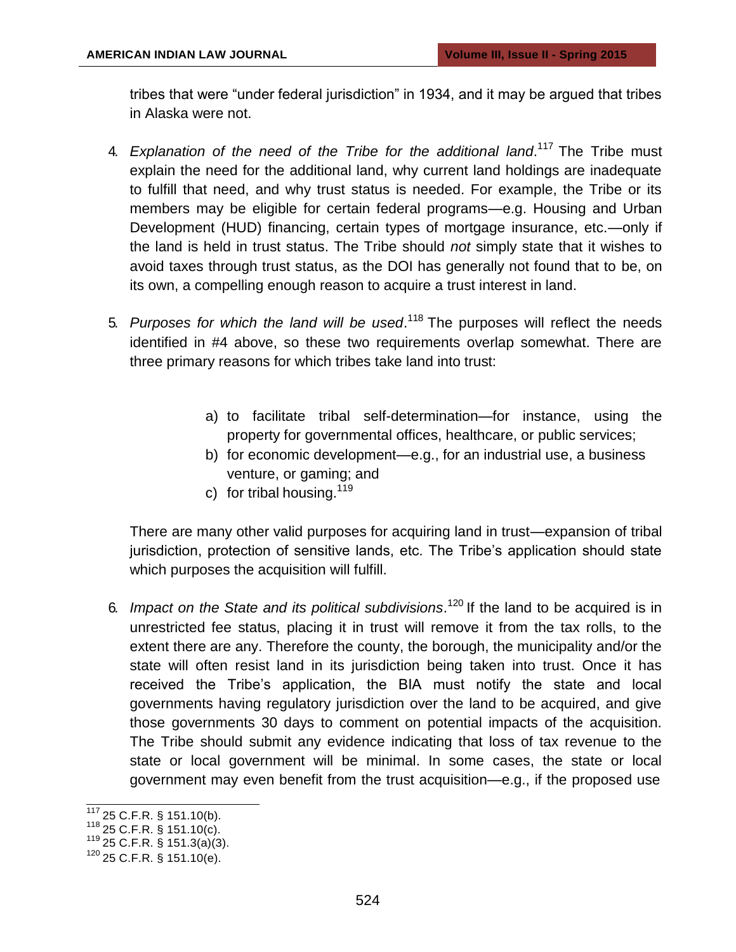tribes that were "under federal jurisdiction" in 1934, and it may be argued that tribes in Alaska were not.

- 4. Explanation of the need of the Tribe for the additional land.<sup>117</sup> The Tribe must explain the need for the additional land, why current land holdings are inadequate to fulfill that need, and why trust status is needed. For example, the Tribe or its members may be eligible for certain federal programs—e.g. Housing and Urban Development (HUD) financing, certain types of mortgage insurance, etc.—only if the land is held in trust status. The Tribe should *not* simply state that it wishes to avoid taxes through trust status, as the DOI has generally not found that to be, on its own, a compelling enough reason to acquire a trust interest in land.
- 5. Purposes for which the land will be used.<sup>118</sup> The purposes will reflect the needs identified in #4 above, so these two requirements overlap somewhat. There are three primary reasons for which tribes take land into trust:
	- a) to facilitate tribal self-determination—for instance, using the property for governmental offices, healthcare, or public services;
	- b) for economic development—e.g., for an industrial use, a business venture, or gaming; and
	- c) for tribal housing.  $119$

There are many other valid purposes for acquiring land in trust—expansion of tribal jurisdiction, protection of sensitive lands, etc. The Tribe's application should state which purposes the acquisition will fulfill.

6. Impact on the State and its political subdivisions.<sup>120</sup> If the land to be acquired is in unrestricted fee status, placing it in trust will remove it from the tax rolls, to the extent there are any. Therefore the county, the borough, the municipality and/or the state will often resist land in its jurisdiction being taken into trust. Once it has received the Tribe's application, the BIA must notify the state and local governments having regulatory jurisdiction over the land to be acquired, and give those governments 30 days to comment on potential impacts of the acquisition. The Tribe should submit any evidence indicating that loss of tax revenue to the state or local government will be minimal. In some cases, the state or local government may even benefit from the trust acquisition—e.g., if the proposed use

 $117$  25 C.F.R. § 151.10(b).

 $118$  25 C.F.R. § 151.10(c).

 $119$  25 C.F.R. § 151.3(a)(3).

 $120\,$  25 C.F.R. § 151.10(e).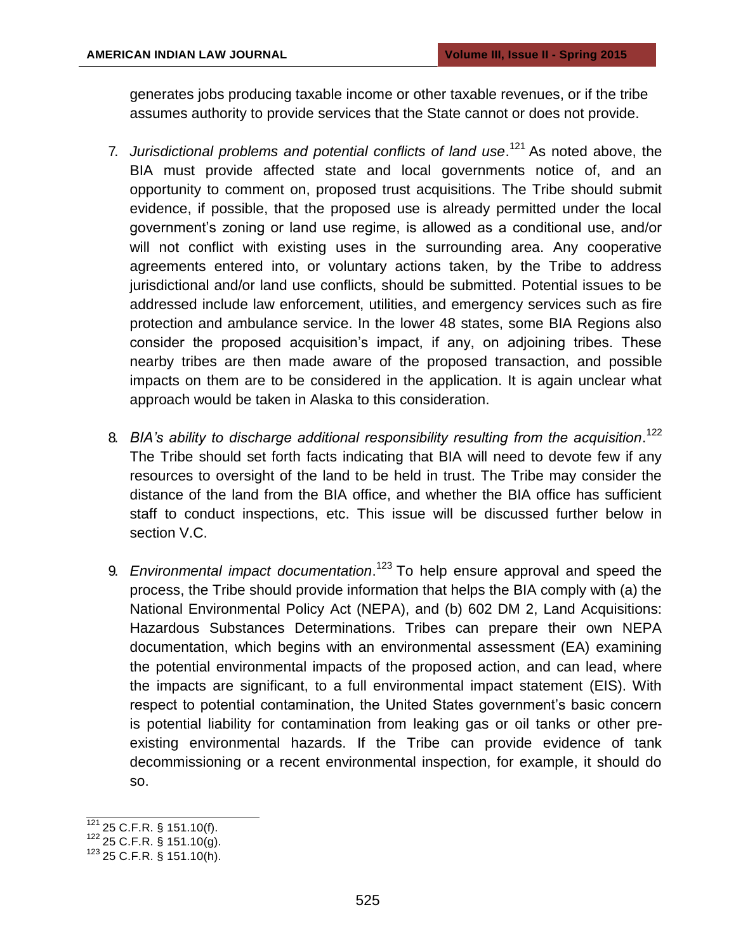generates jobs producing taxable income or other taxable revenues, or if the tribe assumes authority to provide services that the State cannot or does not provide.

- 7. Jurisdictional problems and potential conflicts of land use.<sup>121</sup> As noted above, the BIA must provide affected state and local governments notice of, and an opportunity to comment on, proposed trust acquisitions. The Tribe should submit evidence, if possible, that the proposed use is already permitted under the local government's zoning or land use regime, is allowed as a conditional use, and/or will not conflict with existing uses in the surrounding area. Any cooperative agreements entered into, or voluntary actions taken, by the Tribe to address jurisdictional and/or land use conflicts, should be submitted. Potential issues to be addressed include law enforcement, utilities, and emergency services such as fire protection and ambulance service. In the lower 48 states, some BIA Regions also consider the proposed acquisition's impact, if any, on adjoining tribes. These nearby tribes are then made aware of the proposed transaction, and possible impacts on them are to be considered in the application. It is again unclear what approach would be taken in Alaska to this consideration.
- 8. *BIA's ability to discharge additional responsibility resulting from the acquisition*. 122 The Tribe should set forth facts indicating that BIA will need to devote few if any resources to oversight of the land to be held in trust. The Tribe may consider the distance of the land from the BIA office, and whether the BIA office has sufficient staff to conduct inspections, etc. This issue will be discussed further below in section V.C.
- 9. *Environmental impact documentation*.<sup>123</sup> To help ensure approval and speed the process, the Tribe should provide information that helps the BIA comply with (a) the National Environmental Policy Act (NEPA), and (b) 602 DM 2, Land Acquisitions: Hazardous Substances Determinations. Tribes can prepare their own NEPA documentation, which begins with an environmental assessment (EA) examining the potential environmental impacts of the proposed action, and can lead, where the impacts are significant, to a full environmental impact statement (EIS). With respect to potential contamination, the United States government's basic concern is potential liability for contamination from leaking gas or oil tanks or other preexisting environmental hazards. If the Tribe can provide evidence of tank decommissioning or a recent environmental inspection, for example, it should do so.

 $121$  25 C.F.R. § 151.10(f).

 $122$  25 C.F.R. § 151.10(g).

 $123$  25 C.F.R. § 151.10(h).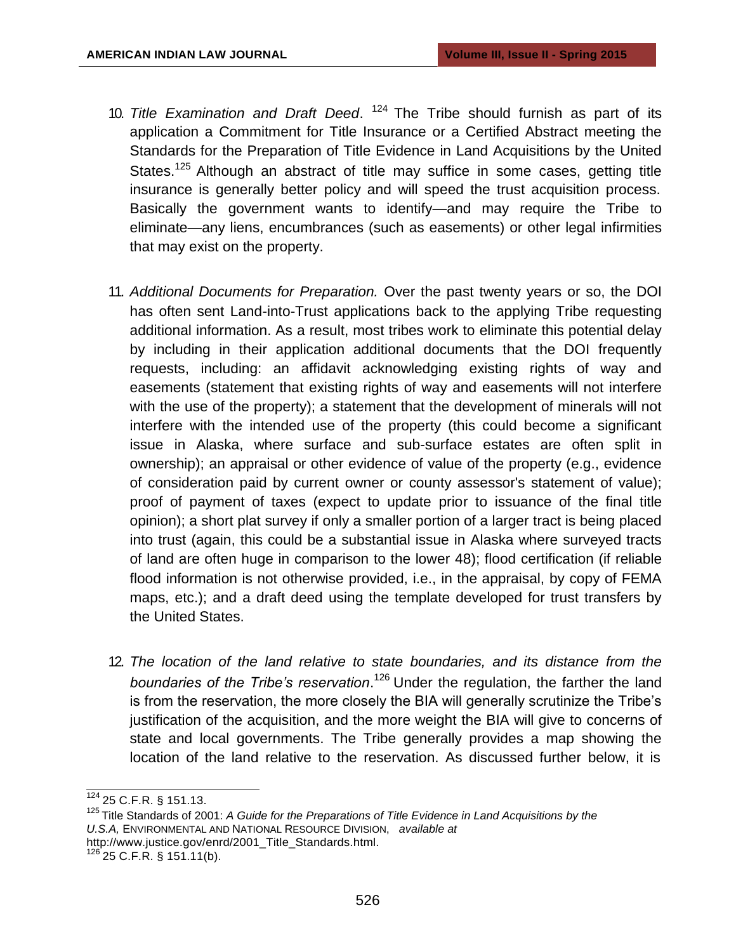- 10. Title Examination and Draft Deed. <sup>124</sup> The Tribe should furnish as part of its application a Commitment for Title Insurance or a Certified Abstract meeting the Standards for the Preparation of Title Evidence in Land Acquisitions by the United States.<sup>125</sup> Although an abstract of title may suffice in some cases, getting title insurance is generally better policy and will speed the trust acquisition process. Basically the government wants to identify—and may require the Tribe to eliminate—any liens, encumbrances (such as easements) or other legal infirmities that may exist on the property.
- 11. *Additional Documents for Preparation.* Over the past twenty years or so, the DOI has often sent Land-into-Trust applications back to the applying Tribe requesting additional information. As a result, most tribes work to eliminate this potential delay by including in their application additional documents that the DOI frequently requests, including: an affidavit acknowledging existing rights of way and easements (statement that existing rights of way and easements will not interfere with the use of the property); a statement that the development of minerals will not interfere with the intended use of the property (this could become a significant issue in Alaska, where surface and sub-surface estates are often split in ownership); an appraisal or other evidence of value of the property (e.g., evidence of consideration paid by current owner or county assessor's statement of value); proof of payment of taxes (expect to update prior to issuance of the final title opinion); a short plat survey if only a smaller portion of a larger tract is being placed into trust (again, this could be a substantial issue in Alaska where surveyed tracts of land are often huge in comparison to the lower 48); flood certification (if reliable flood information is not otherwise provided, i.e., in the appraisal, by copy of FEMA maps, etc.); and a draft deed using the template developed for trust transfers by the United States.
- 12. *The location of the land relative to state boundaries, and its distance from the*  boundaries of the Tribe's reservation.<sup>126</sup> Under the regulation, the farther the land is from the reservation, the more closely the BIA will generally scrutinize the Tribe's justification of the acquisition, and the more weight the BIA will give to concerns of state and local governments. The Tribe generally provides a map showing the location of the land relative to the reservation. As discussed further below, it is

 $\frac{124}{124}$  25 C.F.R. § 151.13.

<sup>&</sup>lt;sup>125</sup> Title Standards of 2001: *A Guide for the Preparations of Title Evidence in Land Acquisitions by the U.S.A,* ENVIRONMENTAL AND NATIONAL RESOURCE DIVISION, *available at* [http://www.justice.gov/enrd/2001\\_Title\\_Standards.html.](http://www.justice.gov/enrd/2001_Title_Standards.html)

 $126$  25 C.F.R. § 151.11(b).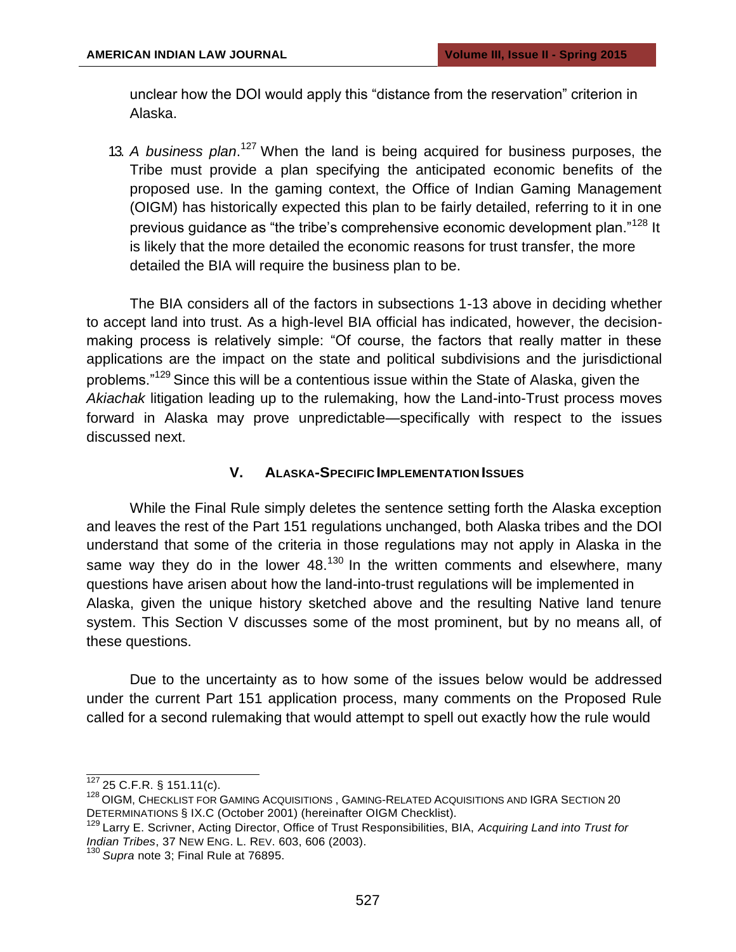unclear how the DOI would apply this "distance from the reservation" criterion in Alaska.

13. A business plan.<sup>127</sup> When the land is being acquired for business purposes, the Tribe must provide a plan specifying the anticipated economic benefits of the proposed use. In the gaming context, the Office of Indian Gaming Management (OIGM) has historically expected this plan to be fairly detailed, referring to it in one previous guidance as "the tribe's comprehensive economic development plan."<sup>128</sup> It is likely that the more detailed the economic reasons for trust transfer, the more detailed the BIA will require the business plan to be.

The BIA considers all of the factors in subsections 1-13 above in deciding whether to accept land into trust. As a high-level BIA official has indicated, however, the decisionmaking process is relatively simple: "Of course, the factors that really matter in these applications are the impact on the state and political subdivisions and the jurisdictional problems."<sup>129</sup> Since this will be a contentious issue within the State of Alaska, given the *Akiachak* litigation leading up to the rulemaking, how the Land-into-Trust process moves forward in Alaska may prove unpredictable—specifically with respect to the issues discussed next.

#### **V. ALASKA-SPECIFIC IMPLEMENTATION ISSUES**

While the Final Rule simply deletes the sentence setting forth the Alaska exception and leaves the rest of the Part 151 regulations unchanged, both Alaska tribes and the DOI understand that some of the criteria in those regulations may not apply in Alaska in the same way they do in the lower  $48^{130}$  In the written comments and elsewhere, many questions have arisen about how the land-into-trust regulations will be implemented in Alaska, given the unique history sketched above and the resulting Native land tenure system. This Section V discusses some of the most prominent, but by no means all, of these questions.

Due to the uncertainty as to how some of the issues below would be addressed under the current Part 151 application process, many comments on the Proposed Rule called for a second rulemaking that would attempt to spell out exactly how the rule would

 $127$  25 C.F.R. § 151.11(c).

<sup>&</sup>lt;sup>128</sup> OIGM, CHECKLIST FOR GAMING ACQUISITIONS, GAMING-RELATED ACQUISITIONS AND IGRA SECTION 20 DETERMINATIONS § IX.C (October 2001) (hereinafter OIGM Checklist).

<sup>129</sup>Larry E. Scrivner, Acting Director, Office of Trust Responsibilities, BIA, *Acquiring Land into Trust for Indian Tribes*, 37 NEW ENG. L. REV. 603, 606 (2003).

<sup>130</sup>*Supra* note 3; Final Rule at 76895.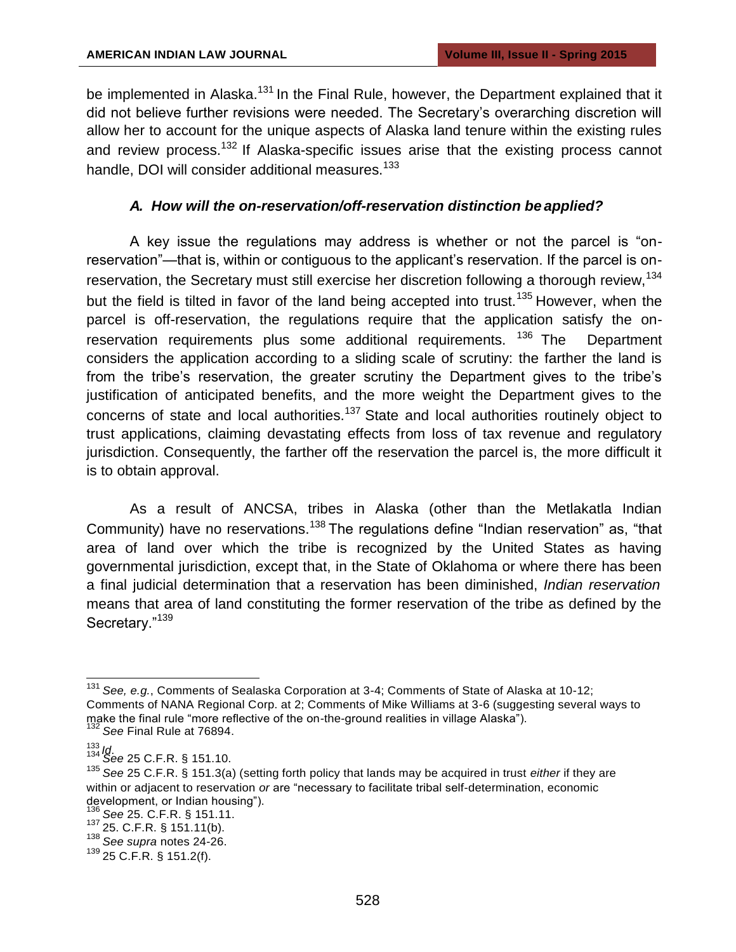be implemented in Alaska.<sup>131</sup> In the Final Rule, however, the Department explained that it did not believe further revisions were needed. The Secretary's overarching discretion will allow her to account for the unique aspects of Alaska land tenure within the existing rules and review process.<sup>132</sup> If Alaska-specific issues arise that the existing process cannot handle, DOI will consider additional measures.<sup>133</sup>

## *A. How will the on-reservation/off-reservation distinction be applied?*

A key issue the regulations may address is whether or not the parcel is "onreservation"—that is, within or contiguous to the applicant's reservation. If the parcel is onreservation, the Secretary must still exercise her discretion following a thorough review,<sup>134</sup> but the field is tilted in favor of the land being accepted into trust.<sup>135</sup> However, when the parcel is off-reservation, the regulations require that the application satisfy the onreservation requirements plus some additional requirements.  $136$  The Department considers the application according to a sliding scale of scrutiny: the farther the land is from the tribe's reservation, the greater scrutiny the Department gives to the tribe's justification of anticipated benefits, and the more weight the Department gives to the concerns of state and local authorities.<sup>137</sup> State and local authorities routinely object to trust applications, claiming devastating effects from loss of tax revenue and regulatory jurisdiction. Consequently, the farther off the reservation the parcel is, the more difficult it is to obtain approval.

As a result of ANCSA, tribes in Alaska (other than the Metlakatla Indian Community) have no reservations.<sup>138</sup> The regulations define "Indian reservation" as, "that area of land over which the tribe is recognized by the United States as having governmental jurisdiction, except that, in the State of Oklahoma or where there has been a final judicial determination that a reservation has been diminished, *Indian reservation* means that area of land constituting the former reservation of the tribe as defined by the Secretary."<sup>139</sup>

<sup>131</sup>*See, e.g.*, Comments of Sealaska Corporation at 3-4; Comments of State of Alaska at 10-12; Comments of NANA Regional Corp. at 2; Comments of Mike Williams at 3-6 (suggesting several ways to make the final rule "more reflective of the on-the-ground realities in village Alaska"). <sup>132</sup>*See* Final Rule at 76894.

<sup>133</sup>*Id*. <sup>134</sup>*See* 25 C.F.R. § 151.10.

<sup>135</sup>*See* 25 C.F.R. § 151.3(a) (setting forth policy that lands may be acquired in trust *either* if they are within or adjacent to reservation *or* are "necessary to facilitate tribal self-determination, economic development, or Indian housing").

<sup>136</sup>*See* 25. C.F.R. § 151.11.

<sup>137</sup>25. C.F.R. § 151.11(b).

<sup>138</sup>*See supra* notes 24-26.

<sup>139</sup>25 C.F.R. § 151.2(f).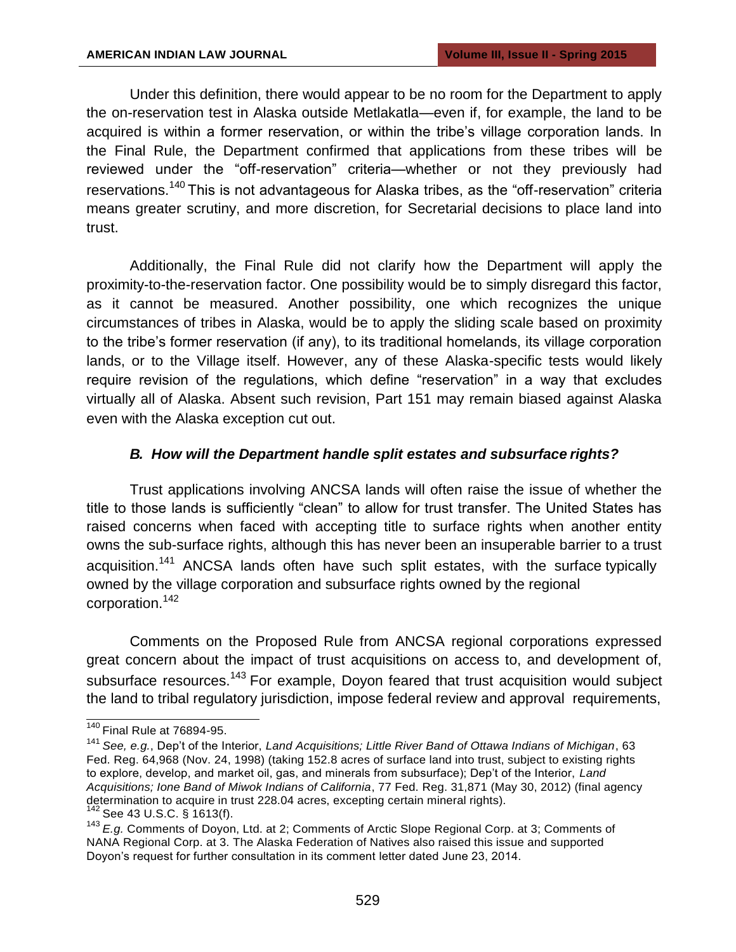Under this definition, there would appear to be no room for the Department to apply the on-reservation test in Alaska outside Metlakatla—even if, for example, the land to be acquired is within a former reservation, or within the tribe's village corporation lands. In the Final Rule, the Department confirmed that applications from these tribes will be reviewed under the "off-reservation" criteria—whether or not they previously had reservations.<sup>140</sup> This is not advantageous for Alaska tribes, as the "off-reservation" criteria means greater scrutiny, and more discretion, for Secretarial decisions to place land into trust.

Additionally, the Final Rule did not clarify how the Department will apply the proximity-to-the-reservation factor. One possibility would be to simply disregard this factor, as it cannot be measured. Another possibility, one which recognizes the unique circumstances of tribes in Alaska, would be to apply the sliding scale based on proximity to the tribe's former reservation (if any), to its traditional homelands, its village corporation lands, or to the Village itself. However, any of these Alaska-specific tests would likely require revision of the regulations, which define "reservation" in a way that excludes virtually all of Alaska. Absent such revision, Part 151 may remain biased against Alaska even with the Alaska exception cut out.

#### *B. How will the Department handle split estates and subsurface rights?*

Trust applications involving ANCSA lands will often raise the issue of whether the title to those lands is sufficiently "clean" to allow for trust transfer. The United States has raised concerns when faced with accepting title to surface rights when another entity owns the sub-surface rights, although this has never been an insuperable barrier to a trust acquisition.<sup>141</sup> ANCSA lands often have such split estates, with the surface typically owned by the village corporation and subsurface rights owned by the regional corporation.<sup>142</sup>

Comments on the Proposed Rule from ANCSA regional corporations expressed great concern about the impact of trust acquisitions on access to, and development of, subsurface resources.<sup>143</sup> For example, Doyon feared that trust acquisition would subject the land to tribal regulatory jurisdiction, impose federal review and approval requirements,

 $140$  Final Rule at 76894-95.

<sup>141</sup>*See, e.g.*, Dep't of the Interior, *Land Acquisitions; Little River Band of Ottawa Indians of Michigan*, 63 Fed. Reg. 64,968 (Nov. 24, 1998) (taking 152.8 acres of surface land into trust, subject to existing rights to explore, develop, and market oil, gas, and minerals from subsurface); Dep't of the Interior, *Land Acquisitions; Ione Band of Miwok Indians of California*, 77 Fed. Reg. 31,871 (May 30, 2012) (final agency determination to acquire in trust 228.04 acres, excepting certain mineral rights). See 43 U.S.C. § 1613(f).

<sup>143</sup>*E.g.* Comments of Doyon, Ltd. at 2; Comments of Arctic Slope Regional Corp. at 3; Comments of NANA Regional Corp. at 3. The Alaska Federation of Natives also raised this issue and supported Doyon's request for further consultation in its comment letter dated June 23, 2014.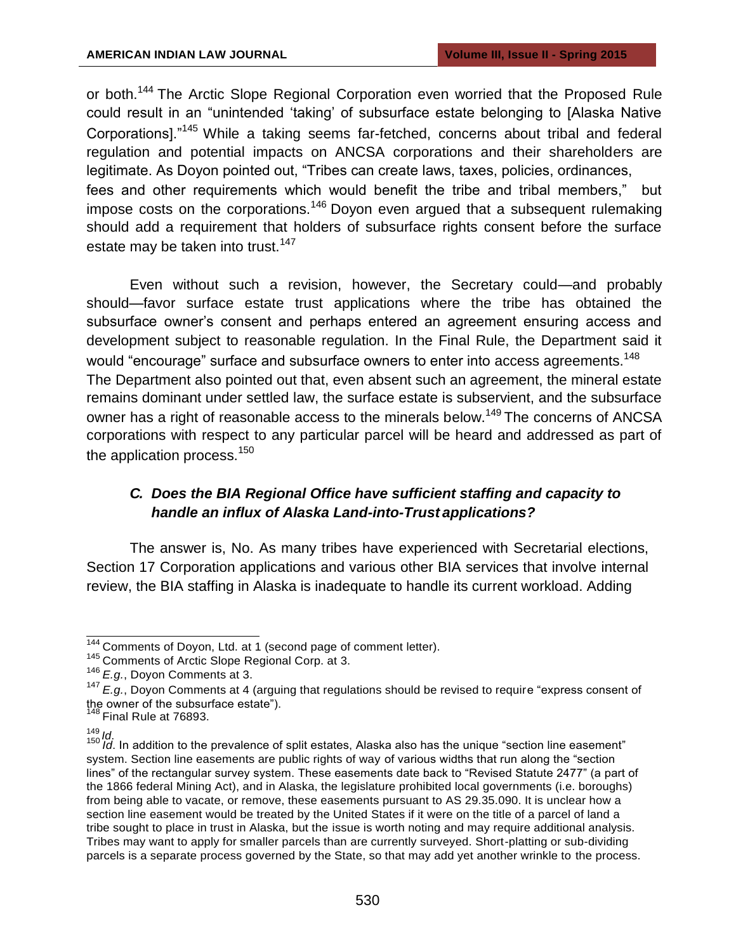or both.<sup>144</sup> The Arctic Slope Regional Corporation even worried that the Proposed Rule could result in an "unintended 'taking' of subsurface estate belonging to [Alaska Native Corporations]."<sup>145</sup>While a taking seems far-fetched, concerns about tribal and federal regulation and potential impacts on ANCSA corporations and their shareholders are legitimate. As Doyon pointed out, "Tribes can create laws, taxes, policies, ordinances, fees and other requirements which would benefit the tribe and tribal members," but impose costs on the corporations.<sup>146</sup> Doyon even argued that a subsequent rulemaking should add a requirement that holders of subsurface rights consent before the surface estate may be taken into trust.<sup>147</sup>

Even without such a revision, however, the Secretary could—and probably should—favor surface estate trust applications where the tribe has obtained the subsurface owner's consent and perhaps entered an agreement ensuring access and development subject to reasonable regulation. In the Final Rule, the Department said it would "encourage" surface and subsurface owners to enter into access agreements.<sup>148</sup> The Department also pointed out that, even absent such an agreement, the mineral estate remains dominant under settled law, the surface estate is subservient, and the subsurface owner has a right of reasonable access to the minerals below.<sup>149</sup> The concerns of ANCSA corporations with respect to any particular parcel will be heard and addressed as part of the application process.<sup>150</sup>

# *C. Does the BIA Regional Office have sufficient staffing and capacity to handle an influx of Alaska Land-into-Trust applications?*

The answer is, No. As many tribes have experienced with Secretarial elections, Section 17 Corporation applications and various other BIA services that involve internal review, the BIA staffing in Alaska is inadequate to handle its current workload. Adding

<sup>&</sup>lt;sup>144</sup> Comments of Doyon, Ltd. at 1 (second page of comment letter).

<sup>&</sup>lt;sup>145</sup> Comments of Arctic Slope Regional Corp. at 3.

<sup>146</sup>*E.g.*, Doyon Comments at 3.

<sup>&</sup>lt;sup>147</sup> E.g., Doyon Comments at 4 (arguing that regulations should be revised to require "express consent of the owner of the subsurface estate").

 $148$  Final Rule at 76893.

<sup>149</sup>*Id*. <sup>150</sup>*Id*. In addition to the prevalence of split estates, Alaska also has the unique "section line easement" system. Section line easements are public rights of way of various widths that run along the "section lines" of the rectangular survey system. These easements date back to "Revised Statute 2477" (a part of the 1866 federal Mining Act), and in Alaska, the legislature prohibited local governments (i.e. boroughs) from being able to vacate, or remove, these easements pursuant to AS 29.35.090. It is unclear how a section line easement would be treated by the United States if it were on the title of a parcel of land a tribe sought to place in trust in Alaska, but the issue is worth noting and may require additional analysis. Tribes may want to apply for smaller parcels than are currently surveyed. Short-platting or sub-dividing parcels is a separate process governed by the State, so that may add yet another wrinkle to the process.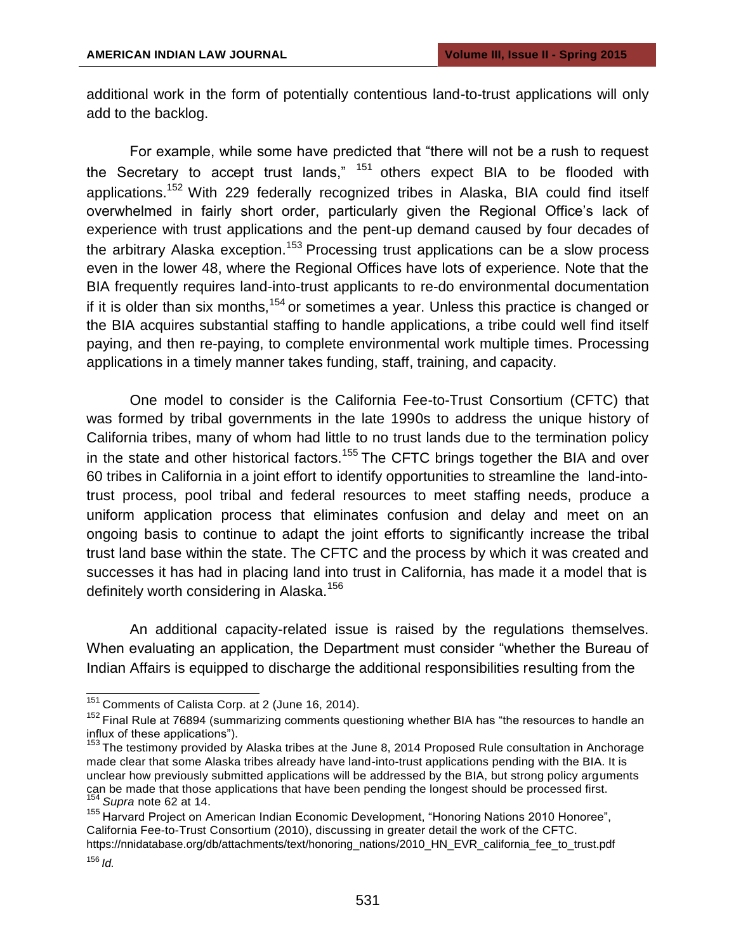additional work in the form of potentially contentious land-to-trust applications will only add to the backlog.

For example, while some have predicted that "there will not be a rush to request the Secretary to accept trust lands,"  $151$  others expect BIA to be flooded with applications.<sup>152</sup> With 229 federally recognized tribes in Alaska, BIA could find itself overwhelmed in fairly short order, particularly given the Regional Office's lack of experience with trust applications and the pent-up demand caused by four decades of the arbitrary Alaska exception.<sup>153</sup> Processing trust applications can be a slow process even in the lower 48, where the Regional Offices have lots of experience. Note that the BIA frequently requires land-into-trust applicants to re-do environmental documentation if it is older than six months,  $154$  or sometimes a year. Unless this practice is changed or the BIA acquires substantial staffing to handle applications, a tribe could well find itself paying, and then re-paying, to complete environmental work multiple times. Processing applications in a timely manner takes funding, staff, training, and capacity.

One model to consider is the California Fee-to-Trust Consortium (CFTC) that was formed by tribal governments in the late 1990s to address the unique history of California tribes, many of whom had little to no trust lands due to the termination policy in the state and other historical factors.<sup>155</sup> The CFTC brings together the BIA and over 60 tribes in California in a joint effort to identify opportunities to streamline the land-intotrust process, pool tribal and federal resources to meet staffing needs, produce a uniform application process that eliminates confusion and delay and meet on an ongoing basis to continue to adapt the joint efforts to significantly increase the tribal trust land base within the state. The CFTC and the process by which it was created and successes it has had in placing land into trust in California, has made it a model that is definitely worth considering in Alaska.<sup>156</sup>

An additional capacity-related issue is raised by the regulations themselves. When evaluating an application, the Department must consider "whether the Bureau of Indian Affairs is equipped to discharge the additional responsibilities resulting from the

 $151$  Comments of Calista Corp. at 2 (June 16, 2014).

<sup>&</sup>lt;sup>152</sup> Final Rule at 76894 (summarizing comments questioning whether BIA has "the resources to handle an influx of these applications").

<sup>&</sup>lt;sup>153</sup> The testimony provided by Alaska tribes at the June 8, 2014 Proposed Rule consultation in Anchorage made clear that some Alaska tribes already have land-into-trust applications pending with the BIA. It is unclear how previously submitted applications will be addressed by the BIA, but strong policy arguments can be made that those applications that have been pending the longest should be processed first. <sup>154</sup>*Supra* note 62 at 14.

<sup>155</sup> Harvard Project on American Indian Economic Development, "Honoring Nations 2010 Honoree", California Fee-to-Trust Consortium (2010), discussing in greater detail the work of the CFTC. https://nnidatabase.org/db/attachments/text/honoring\_nations/2010\_HN\_EVR\_california\_fee\_to\_trust.pdf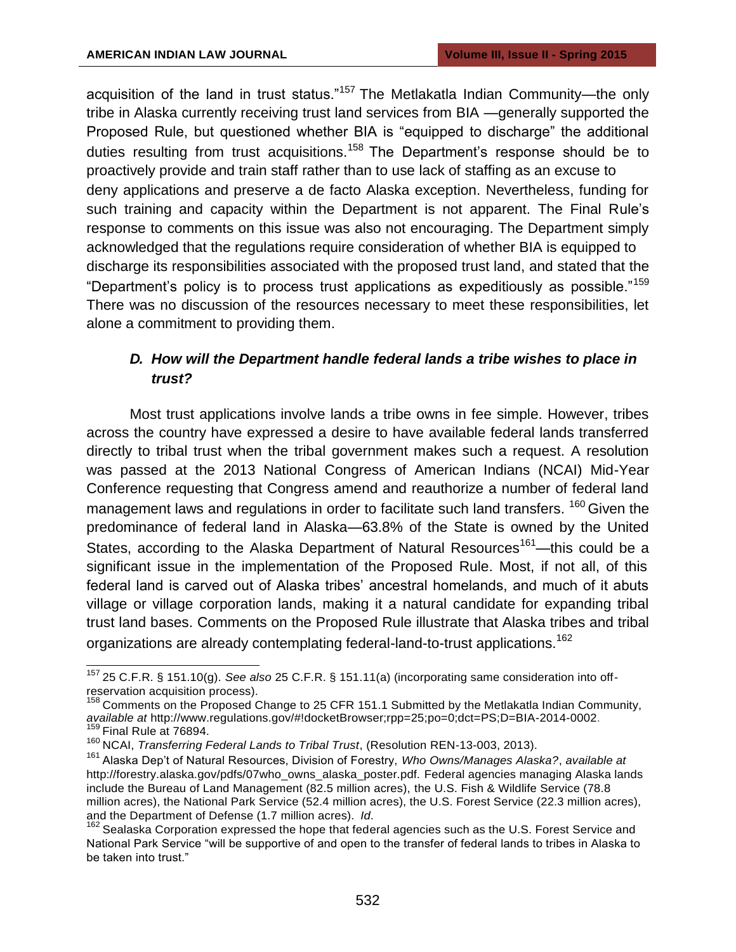acquisition of the land in trust status."<sup>157</sup> The Metlakatla Indian Community—the only tribe in Alaska currently receiving trust land services from BIA —generally supported the Proposed Rule, but questioned whether BIA is "equipped to discharge" the additional duties resulting from trust acquisitions.<sup>158</sup> The Department's response should be to proactively provide and train staff rather than to use lack of staffing as an excuse to deny applications and preserve a de facto Alaska exception. Nevertheless, funding for such training and capacity within the Department is not apparent. The Final Rule's response to comments on this issue was also not encouraging. The Department simply acknowledged that the regulations require consideration of whether BIA is equipped to discharge its responsibilities associated with the proposed trust land, and stated that the "Department's policy is to process trust applications as expeditiously as possible."<sup>159</sup> There was no discussion of the resources necessary to meet these responsibilities, let alone a commitment to providing them.

# *D. How will the Department handle federal lands a tribe wishes to place in trust?*

Most trust applications involve lands a tribe owns in fee simple. However, tribes across the country have expressed a desire to have available federal lands transferred directly to tribal trust when the tribal government makes such a request. A resolution was passed at the 2013 National Congress of American Indians (NCAI) Mid-Year Conference requesting that Congress amend and reauthorize a number of federal land management laws and regulations in order to facilitate such land transfers.  $160$  Given the predominance of federal land in Alaska—63.8% of the State is owned by the United States, according to the Alaska Department of Natural Resources<sup>161</sup>—this could be a significant issue in the implementation of the Proposed Rule. Most, if not all, of this federal land is carved out of Alaska tribes' ancestral homelands, and much of it abuts village or village corporation lands, making it a natural candidate for expanding tribal trust land bases. Comments on the Proposed Rule illustrate that Alaska tribes and tribal organizations are already contemplating federal-land-to-trust applications.<sup>162</sup>

<sup>157</sup>25 C.F.R. § 151.10(g). *See also* 25 C.F.R. § 151.11(a) (incorporating same consideration into offreservation acquisition process).

 $158$  Comments on the Proposed Change to 25 CFR 151.1 Submitted by the Metlakatla Indian Community, *available at* [http://www.regulations.gov/#!docketBrowser;rpp=25;po=0;dct=PS;D=BIA-2014-0002.](http://www.regulations.gov/#!docketBrowser%3Brpp%3D25%3Bpo%3D0%3Bdct%3DPS%3BD%3DBIA-2014-0002) <sup>159</sup> Final Rule at 76894.

<sup>&</sup>lt;sup>160</sup> NCAI, *Transferring Federal Lands to Tribal Trust*, (Resolution REN-13-003, 2013).

<sup>&</sup>lt;sup>161</sup> Alaska Dep't of Natural Resources, Division of Forestry, *Who Owns/Manages Alaska?, available at* [http://forestry.alaska.gov/pdfs/07who\\_owns\\_alaska\\_poster.pdf. F](http://forestry.alaska.gov/pdfs/07who_owns_alaska_poster.pdf)ederal agencies managing Alaska lands include the Bureau of Land Management (82.5 million acres), the U.S. Fish & Wildlife Service (78.8 million acres), the National Park Service (52.4 million acres), the U.S. Forest Service (22.3 million acres), and the Department of Defense (1.7 million acres). *Id*.

and the Experiment of Exerce is a control of the hope that federal agencies such as the U.S. Forest Service and National Park Service "will be supportive of and open to the transfer of federal lands to tribes in Alaska to be taken into trust."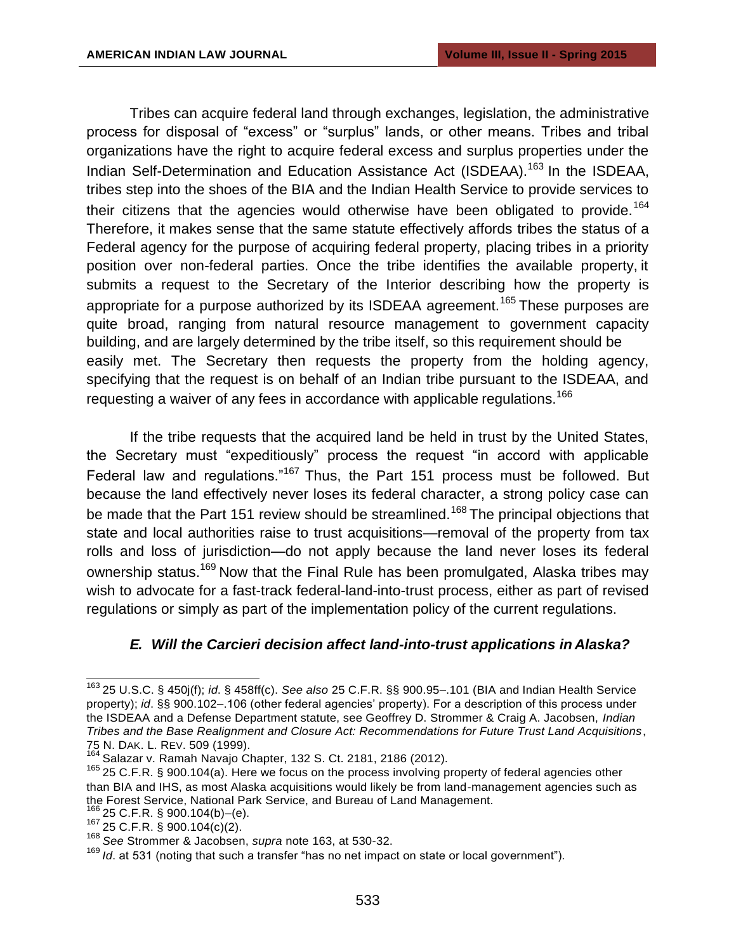Tribes can acquire federal land through exchanges, legislation, the administrative process for disposal of "excess" or "surplus" lands, or other means. Tribes and tribal organizations have the right to acquire federal excess and surplus properties under the Indian Self-Determination and Education Assistance Act (ISDEAA).<sup>163</sup> In the ISDEAA, tribes step into the shoes of the BIA and the Indian Health Service to provide services to their citizens that the agencies would otherwise have been obligated to provide.<sup>164</sup> Therefore, it makes sense that the same statute effectively affords tribes the status of a Federal agency for the purpose of acquiring federal property, placing tribes in a priority position over non-federal parties. Once the tribe identifies the available property, it submits a request to the Secretary of the Interior describing how the property is appropriate for a purpose authorized by its ISDEAA agreement.<sup>165</sup> These purposes are quite broad, ranging from natural resource management to government capacity building, and are largely determined by the tribe itself, so this requirement should be easily met. The Secretary then requests the property from the holding agency, specifying that the request is on behalf of an Indian tribe pursuant to the ISDEAA, and requesting a waiver of any fees in accordance with applicable regulations.<sup>166</sup>

If the tribe requests that the acquired land be held in trust by the United States, the Secretary must "expeditiously" process the request "in accord with applicable Federal law and regulations." $167$  Thus, the Part 151 process must be followed. But because the land effectively never loses its federal character, a strong policy case can be made that the Part 151 review should be streamlined.<sup>168</sup> The principal objections that state and local authorities raise to trust acquisitions—removal of the property from tax rolls and loss of jurisdiction—do not apply because the land never loses its federal ownership status.<sup>169</sup> Now that the Final Rule has been promulgated, Alaska tribes may wish to advocate for a fast-track federal-land-into-trust process, either as part of revised regulations or simply as part of the implementation policy of the current regulations.

#### *E. Will the Carcieri decision affect land-into-trust applications in Alaska?*

 $6^{6}$  25 C.F.R. § 900.104(b)–(e).

<sup>163</sup>25 U.S.C. § 450j(f); *id*. § 458ff(c). *See also* 25 C.F.R. §§ 900.95–.101 (BIA and Indian Health Service property); *id*. §§ 900.102–.106 (other federal agencies' property). For a description of this process under the ISDEAA and a Defense Department statute, see Geoffrey D. Strommer & Craig A. Jacobsen, *Indian Tribes and the Base Realignment and Closure Act: Recommendations for Future Trust Land Acquisitions*, 75 N. DAK. L. REV. 509 (1999).

Salazar v. Ramah Navajo Chapter, 132 S. Ct. 2181, 2186 (2012).

<sup>&</sup>lt;sup>165</sup> 25 C.F.R. § 900.104(a). Here we focus on the process involving property of federal agencies other than BIA and IHS, as most Alaska acquisitions would likely be from land-management agencies such as the Forest Service, National Park Service, and Bureau of Land Management.

<sup>167</sup>25 C.F.R. § 900.104(c)(2).

<sup>168</sup>*See* Strommer & Jacobsen, *supra* note 163, at 530-32.

<sup>169</sup>*Id*. at 531 (noting that such a transfer "has no net impact on state or local government").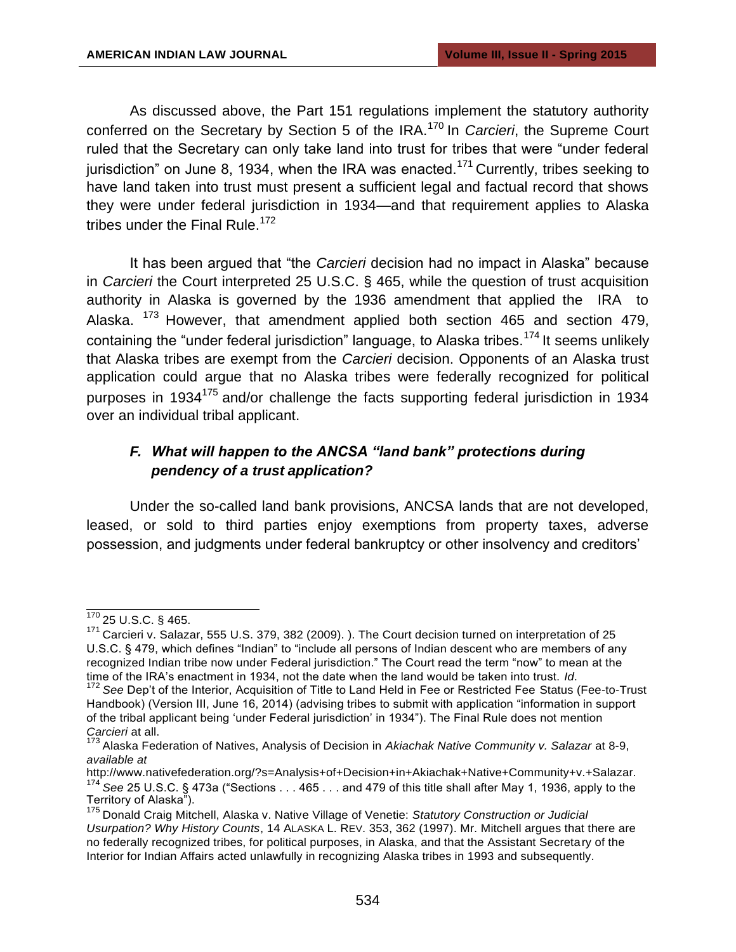As discussed above, the Part 151 regulations implement the statutory authority conferred on the Secretary by Section 5 of the IRA.<sup>170</sup> In *Carcieri*, the Supreme Court ruled that the Secretary can only take land into trust for tribes that were "under federal jurisdiction" on June 8, 1934, when the IRA was enacted.<sup>171</sup> Currently, tribes seeking to have land taken into trust must present a sufficient legal and factual record that shows they were under federal jurisdiction in 1934—and that requirement applies to Alaska tribes under the Final Rule.<sup>172</sup>

It has been argued that "the *Carcieri* decision had no impact in Alaska" because in *Carcieri* the Court interpreted 25 U.S.C. § 465, while the question of trust acquisition authority in Alaska is governed by the 1936 amendment that applied the IRA to Alaska.  $173$  However, that amendment applied both section 465 and section 479, containing the "under federal jurisdiction" language, to Alaska tribes.<sup>174</sup> It seems unlikely that Alaska tribes are exempt from the *Carcieri* decision. Opponents of an Alaska trust application could argue that no Alaska tribes were federally recognized for political purposes in 1934<sup>175</sup> and/or challenge the facts supporting federal jurisdiction in 1934 over an individual tribal applicant.

# *F. What will happen to the ANCSA "land bank" protections during pendency of a trust application?*

Under the so-called land bank provisions, ANCSA lands that are not developed, leased, or sold to third parties enjoy exemptions from property taxes, adverse possession, and judgments under federal bankruptcy or other insolvency and creditors'

 $170$  25 U.S.C. § 465.

<sup>&</sup>lt;sup>171</sup> Carcieri v. Salazar, 555 U.S. 379, 382 (2009). ). The Court decision turned on interpretation of 25 U.S.C. § 479, which defines "Indian" to "include all persons of Indian descent who are members of any recognized Indian tribe now under Federal jurisdiction." The Court read the term "now" to mean at the time of the IRA's enactment in 1934, not the date when the land would be taken into trust. *Id*.

<sup>&</sup>lt;sup>172</sup> See Dep't of the Interior, Acquisition of Title to Land Held in Fee or Restricted Fee Status (Fee-to-Trust Handbook) (Version III, June 16, 2014) (advising tribes to submit with application "information in support of the tribal applicant being 'under Federal jurisdiction' in 1934"). The Final Rule does not mention *Carcieri* at all.

<sup>173</sup>Alaska Federation of Natives, Analysis of Decision in *Akiachak Native Community v. Salazar* at 8-9, *available at* 

[http://www.nativefederation.org/?s=Analysis+of+Decision+in+Akiachak+Native+Community+v.+Salazar.](http://www.nativefederation.org/?s=Analysis%2Bof%2BDecision%2Bin%2BAkiachak%2BNative%2BCommunity%2Bv.%2BSalazar) <sup>174</sup>*See* 25 U.S.C. § 473a ("Sections . . . 465 . . . and 479 of this title shall after May 1, 1936, apply to the Territory of Alaska").

<sup>&</sup>lt;sup>175</sup> Donald Craig Mitchell, Alaska v. Native Village of Venetie: *Statutory Construction or Judicial Usurpation? Why History Counts*, 14 ALASKA L. REV. 353, 362 (1997). Mr. Mitchell argues that there are no federally recognized tribes, for political purposes, in Alaska, and that the Assistant Secretary of the Interior for Indian Affairs acted unlawfully in recognizing Alaska tribes in 1993 and subsequently.